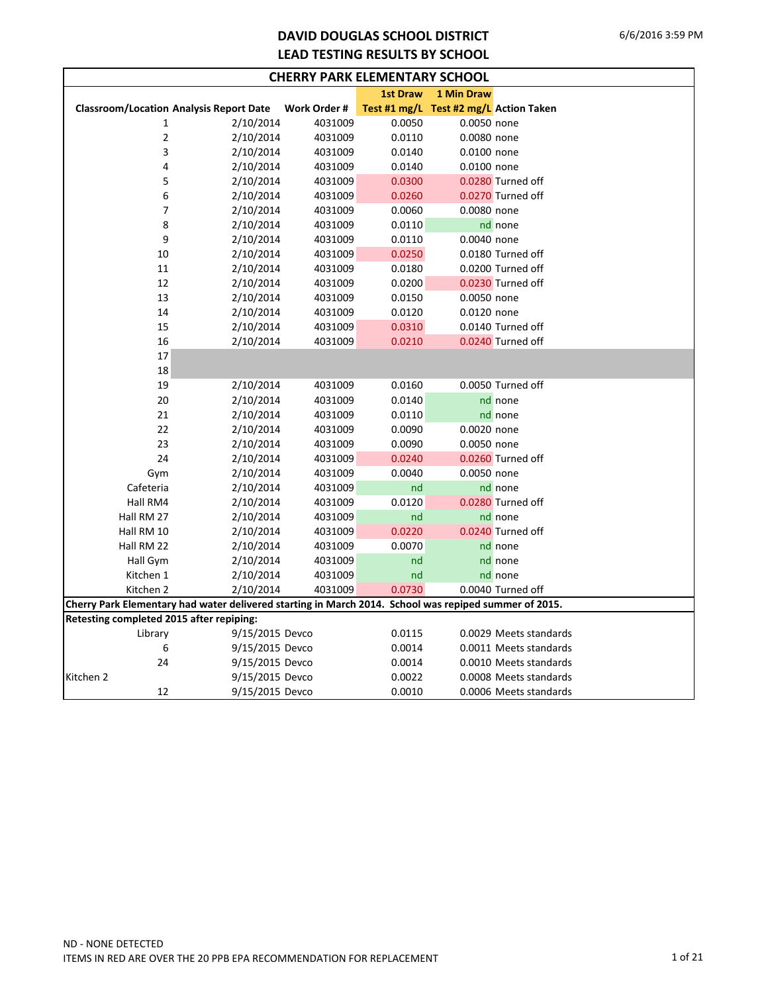## **DAVID DOUGLAS SCHOOL DISTRICT LEAD TESTING RESULTS BY SCHOOL**

| <b>CHERRY PARK ELEMENTARY SCHOOL</b>     |                                                                                                       |              |                 |                                        |                        |  |  |  |  |  |  |
|------------------------------------------|-------------------------------------------------------------------------------------------------------|--------------|-----------------|----------------------------------------|------------------------|--|--|--|--|--|--|
|                                          |                                                                                                       |              | <b>1st Draw</b> | 1 Min Draw                             |                        |  |  |  |  |  |  |
|                                          | <b>Classroom/Location Analysis Report Date</b>                                                        | Work Order # |                 | Test #1 mg/L Test #2 mg/L Action Taken |                        |  |  |  |  |  |  |
| 1                                        | 2/10/2014                                                                                             | 4031009      | 0.0050          | 0.0050 none                            |                        |  |  |  |  |  |  |
| 2                                        | 2/10/2014                                                                                             | 4031009      | 0.0110          | 0.0080 none                            |                        |  |  |  |  |  |  |
| 3                                        | 2/10/2014                                                                                             | 4031009      | 0.0140          | 0.0100 none                            |                        |  |  |  |  |  |  |
| 4                                        | 2/10/2014                                                                                             | 4031009      | 0.0140          | 0.0100 none                            |                        |  |  |  |  |  |  |
| 5                                        | 2/10/2014                                                                                             | 4031009      | 0.0300          |                                        | 0.0280 Turned off      |  |  |  |  |  |  |
| 6                                        | 2/10/2014                                                                                             | 4031009      | 0.0260          |                                        | 0.0270 Turned off      |  |  |  |  |  |  |
| 7                                        | 2/10/2014                                                                                             | 4031009      | 0.0060          | 0.0080 none                            |                        |  |  |  |  |  |  |
| 8                                        | 2/10/2014                                                                                             | 4031009      | 0.0110          |                                        | nd none                |  |  |  |  |  |  |
| 9                                        | 2/10/2014                                                                                             | 4031009      | 0.0110          | 0.0040 none                            |                        |  |  |  |  |  |  |
| 10                                       | 2/10/2014                                                                                             | 4031009      | 0.0250          |                                        | 0.0180 Turned off      |  |  |  |  |  |  |
| 11                                       | 2/10/2014                                                                                             | 4031009      | 0.0180          |                                        | 0.0200 Turned off      |  |  |  |  |  |  |
| 12                                       | 2/10/2014                                                                                             | 4031009      | 0.0200          |                                        | 0.0230 Turned off      |  |  |  |  |  |  |
| 13                                       | 2/10/2014                                                                                             | 4031009      | 0.0150          | 0.0050 none                            |                        |  |  |  |  |  |  |
| 14                                       | 2/10/2014                                                                                             | 4031009      | 0.0120          | 0.0120 none                            |                        |  |  |  |  |  |  |
| 15                                       | 2/10/2014                                                                                             | 4031009      | 0.0310          |                                        | 0.0140 Turned off      |  |  |  |  |  |  |
| 16                                       | 2/10/2014                                                                                             | 4031009      | 0.0210          |                                        | 0.0240 Turned off      |  |  |  |  |  |  |
| 17                                       |                                                                                                       |              |                 |                                        |                        |  |  |  |  |  |  |
| 18                                       |                                                                                                       |              |                 |                                        |                        |  |  |  |  |  |  |
| 19                                       | 2/10/2014                                                                                             | 4031009      | 0.0160          |                                        | 0.0050 Turned off      |  |  |  |  |  |  |
| 20                                       | 2/10/2014                                                                                             | 4031009      | 0.0140          |                                        | nd none                |  |  |  |  |  |  |
| 21                                       | 2/10/2014                                                                                             | 4031009      | 0.0110          |                                        | nd none                |  |  |  |  |  |  |
| 22                                       | 2/10/2014                                                                                             | 4031009      | 0.0090          | 0.0020 none                            |                        |  |  |  |  |  |  |
| 23                                       | 2/10/2014                                                                                             | 4031009      | 0.0090          | 0.0050 none                            |                        |  |  |  |  |  |  |
| 24                                       | 2/10/2014                                                                                             | 4031009      | 0.0240          |                                        | 0.0260 Turned off      |  |  |  |  |  |  |
| Gym                                      | 2/10/2014                                                                                             | 4031009      | 0.0040          | 0.0050 none                            |                        |  |  |  |  |  |  |
| Cafeteria                                | 2/10/2014                                                                                             | 4031009      | nd              |                                        | nd none                |  |  |  |  |  |  |
| Hall RM4                                 | 2/10/2014                                                                                             | 4031009      | 0.0120          |                                        | 0.0280 Turned off      |  |  |  |  |  |  |
| Hall RM 27                               | 2/10/2014                                                                                             | 4031009      | nd              |                                        | nd none                |  |  |  |  |  |  |
| Hall RM 10                               | 2/10/2014                                                                                             | 4031009      | 0.0220          |                                        | 0.0240 Turned off      |  |  |  |  |  |  |
| Hall RM 22                               | 2/10/2014                                                                                             | 4031009      | 0.0070          |                                        | nd none                |  |  |  |  |  |  |
| Hall Gym                                 | 2/10/2014                                                                                             | 4031009      | nd              |                                        | nd none                |  |  |  |  |  |  |
| Kitchen 1                                | 2/10/2014                                                                                             | 4031009      | nd              |                                        | nd none                |  |  |  |  |  |  |
| Kitchen 2                                | 2/10/2014                                                                                             | 4031009      | 0.0730          |                                        | 0.0040 Turned off      |  |  |  |  |  |  |
|                                          | Cherry Park Elementary had water delivered starting in March 2014. School was repiped summer of 2015. |              |                 |                                        |                        |  |  |  |  |  |  |
| Retesting completed 2015 after repiping: |                                                                                                       |              |                 |                                        |                        |  |  |  |  |  |  |
| Library                                  | 9/15/2015 Devco                                                                                       |              | 0.0115          |                                        | 0.0029 Meets standards |  |  |  |  |  |  |
| 6                                        | 9/15/2015 Devco                                                                                       |              | 0.0014          |                                        | 0.0011 Meets standards |  |  |  |  |  |  |
| 24                                       | 9/15/2015 Devco                                                                                       |              | 0.0014          |                                        | 0.0010 Meets standards |  |  |  |  |  |  |
| Kitchen 2                                | 9/15/2015 Devco                                                                                       |              | 0.0022          |                                        | 0.0008 Meets standards |  |  |  |  |  |  |
| 12                                       | 9/15/2015 Devco                                                                                       |              | 0.0010          |                                        | 0.0006 Meets standards |  |  |  |  |  |  |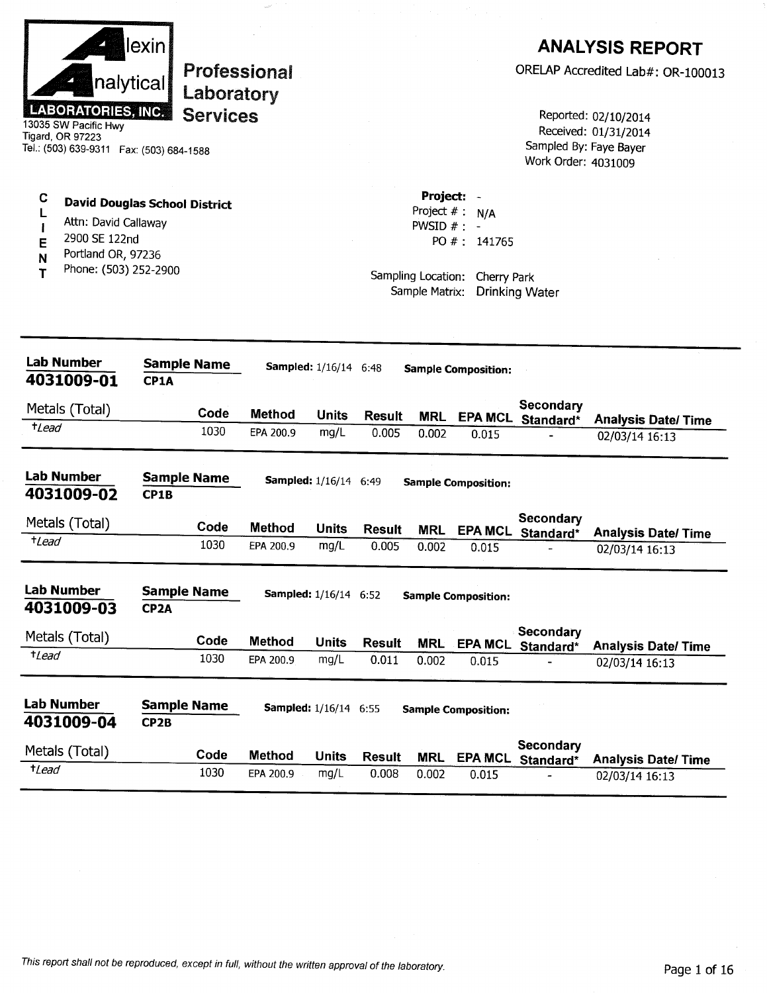|                        | llexin    |  |
|------------------------|-----------|--|
|                        | nalytical |  |
| <b>ABORATORIES, IN</b> | œ         |  |

**Professional** Laboratory **Services** 

13035 SW Pacific Hwy Tigard, OR 97223 Tel.: (503) 639-9311 Fax: (503) 684-1588

### $\mathbf C$ **David Douglas School District**  $\mathbf{L}$

- Attn: David Callaway  $\overline{1}$
- 2900 SE 122nd E
- Portland OR, 97236 N
- Phone: (503) 252-2900 T

# **ANALYSIS REPORT**

ORELAP Accredited Lab#: OR-100013

Reported: 02/10/2014 Received: 01/31/2014 Sampled By: Faye Bayer Work Order: 4031009

Project: -Project  $# : N/A$ PWSID  $#$  : -PO #: 141765

Sampling Location: Cherry Park Sample Matrix: Drinking Water

| <b>Lab Number</b><br>4031009-01 | <b>Sample Name</b><br>CP1A              |      |               | Sampled: 1/16/14 6:48        |               |            | <b>Sample Composition:</b> |                        |                            |
|---------------------------------|-----------------------------------------|------|---------------|------------------------------|---------------|------------|----------------------------|------------------------|----------------------------|
| Metals (Total)                  |                                         | Code | <b>Method</b> | <b>Units</b>                 | <b>Result</b> | <b>MRL</b> | <b>EPA MCL</b>             | Secondary<br>Standard* | <b>Analysis Date/Time</b>  |
| <sup>+</sup> Lead               |                                         | 1030 | EPA 200.9     | mg/L                         | 0.005         | 0.002      | 0.015                      |                        | 02/03/14 16:13             |
| <b>Lab Number</b><br>4031009-02 | <b>Sample Name</b><br>CP1B              |      |               | Sampled: 1/16/14 6:49        |               |            | <b>Sample Composition:</b> |                        |                            |
| Metals (Total)                  |                                         | Code | <b>Method</b> | <b>Units</b>                 | <b>Result</b> | <b>MRL</b> | <b>EPA MCL</b>             | Secondary<br>Standard* | <b>Analysis Date/Time</b>  |
| <i>tLead</i>                    |                                         | 1030 | EPA 200.9     | mg/L                         | 0.005         | 0.002      | 0.015                      |                        | 02/03/14 16:13             |
| <b>Lab Number</b><br>4031009-03 | <b>Sample Name</b><br>CP <sub>2</sub> A |      |               | Sampled: 1/16/14 6:52        |               |            | <b>Sample Composition:</b> |                        |                            |
| Metals (Total)                  |                                         | Code | <b>Method</b> | <b>Units</b>                 | <b>Result</b> | <b>MRL</b> | <b>EPA MCL</b>             | Secondary<br>Standard* | <b>Analysis Date/ Time</b> |
| <i>t</i> Lead                   |                                         | 1030 | EPA 200.9     | mq/L                         | 0.011         | 0.002      | 0.015                      |                        | 02/03/14 16:13             |
| Lab Number<br>4031009-04        | <b>Sample Name</b><br>CP <sub>2B</sub>  |      |               | <b>Sampled:</b> 1/16/14 6:55 |               |            | <b>Sample Composition:</b> |                        |                            |
| Metals (Total)                  |                                         | Code | <b>Method</b> | <b>Units</b>                 | <b>Result</b> | <b>MRL</b> | <b>EPA MCL</b>             | Secondary<br>Standard* | <b>Analysis Date/Time</b>  |
| <i><b>+Lead</b></i>             |                                         | 1030 | EPA 200.9     | mg/L                         | 0.008         | 0.002      | 0.015                      |                        | 02/03/14 16:13             |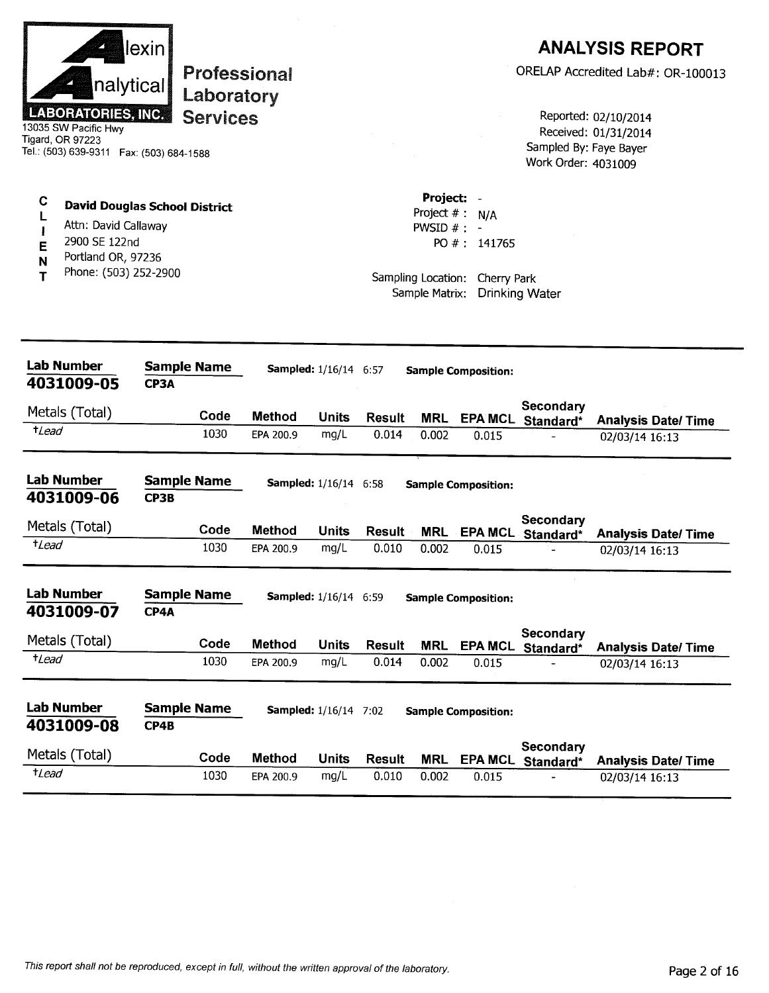|                  | nalytical<br><b>LABORATORIES, INC.</b><br>13035 SW Pacific Hwy<br>Tigard, OR 97223<br>Tel.: (503) 639-9311  Fax: (503) 684-1588 | lexini | <b>Professional</b><br>Laboratory<br><b>Services</b> |               |                              |               |                                                                     |                                                  | Sampled By: Faye Bayer<br>Work Order: 4031009 | <b>ANALYSIS REPORT</b><br>ORELAP Accredited Lab#: OR-100013<br>Reported: 02/10/2014<br>Received: 01/31/2014 |
|------------------|---------------------------------------------------------------------------------------------------------------------------------|--------|------------------------------------------------------|---------------|------------------------------|---------------|---------------------------------------------------------------------|--------------------------------------------------|-----------------------------------------------|-------------------------------------------------------------------------------------------------------------|
| C<br>E<br>N<br>т | <b>David Douglas School District</b><br>Attn: David Callaway<br>2900 SE 122nd<br>Portland OR, 97236<br>Phone: (503) 252-2900    |        |                                                      |               |                              |               | Project: -<br>PWSID $#$ : -<br>Sampling Location:<br>Sample Matrix: | Project $# : N/A$<br>PO #: 141765<br>Cherry Park | <b>Drinking Water</b>                         |                                                                                                             |
|                  | <b>Lab Number</b><br>4031009-05                                                                                                 | CP3A   | <b>Sample Name</b>                                   |               | <b>Sampled:</b> 1/16/14 6:57 |               |                                                                     | <b>Sample Composition:</b>                       |                                               |                                                                                                             |
|                  | Metals (Total)                                                                                                                  |        | Code                                                 | <b>Method</b> | <b>Units</b>                 | Result        | <b>MRL</b>                                                          | <b>EPA MCL</b>                                   | Secondary                                     |                                                                                                             |
| $t$ Lead         |                                                                                                                                 |        | 1030                                                 | EPA 200.9     | mg/L                         | 0.014         | 0.002                                                               | 0.015                                            | Standard*                                     | <b>Analysis Date/ Time</b><br>02/03/14 16:13                                                                |
|                  | <b>Lab Number</b><br>4031009-06                                                                                                 | CP3B   | <b>Sample Name</b>                                   |               | <b>Sampled:</b> 1/16/14 6:58 |               |                                                                     | <b>Sample Composition:</b>                       |                                               |                                                                                                             |
|                  | Metals (Total)                                                                                                                  |        | Code                                                 | <b>Method</b> | Units                        | <b>Result</b> | <b>MRL</b>                                                          |                                                  | Secondary<br>EPA MCL Standard*                | <b>Analysis Date/ Time</b>                                                                                  |
| $t$ Lead         |                                                                                                                                 |        | 1030                                                 | EPA 200.9     | mg/L                         | 0.010         | 0.002                                                               | 0.015                                            |                                               | 02/03/14 16:13                                                                                              |
|                  | Lab Number<br>4031009-07                                                                                                        | CP4A   | <b>Sample Name</b>                                   |               | <b>Sampled:</b> 1/16/14 6:59 |               |                                                                     | <b>Sample Composition:</b>                       |                                               |                                                                                                             |
|                  | Metals (Total)                                                                                                                  |        | Code                                                 | <b>Method</b> | <b>Units</b>                 | <b>Result</b> | <b>MRL</b>                                                          | <b>EPA MCL</b>                                   | Secondary<br>Standard*                        | <b>Analysis Date/ Time</b>                                                                                  |
| $t$ <i>Lead</i>  |                                                                                                                                 |        | 1030                                                 | EPA 200.9     | mg/L                         | 0.014         | 0.002                                                               | 0.015                                            |                                               | 02/03/14 16:13                                                                                              |
|                  | <b>Lab Number</b><br>4031009-08                                                                                                 | CP4B   | <b>Sample Name</b>                                   |               | <b>Sampled:</b> 1/16/14 7:02 |               |                                                                     | <b>Sample Composition:</b>                       |                                               |                                                                                                             |
|                  | Metals (Total)                                                                                                                  |        | Code                                                 | <b>Method</b> | <b>Units</b>                 | <b>Result</b> | <b>MRL</b>                                                          | <b>EPA MCL</b>                                   | <b>Secondary</b><br>Standard*                 | <b>Analysis Date/Time</b>                                                                                   |
| $t$ Lead         |                                                                                                                                 |        | 1030                                                 | EPA 200.9     | mg/L                         | 0.010         | 0.002                                                               | 0.015                                            |                                               | 02/03/14 16:13                                                                                              |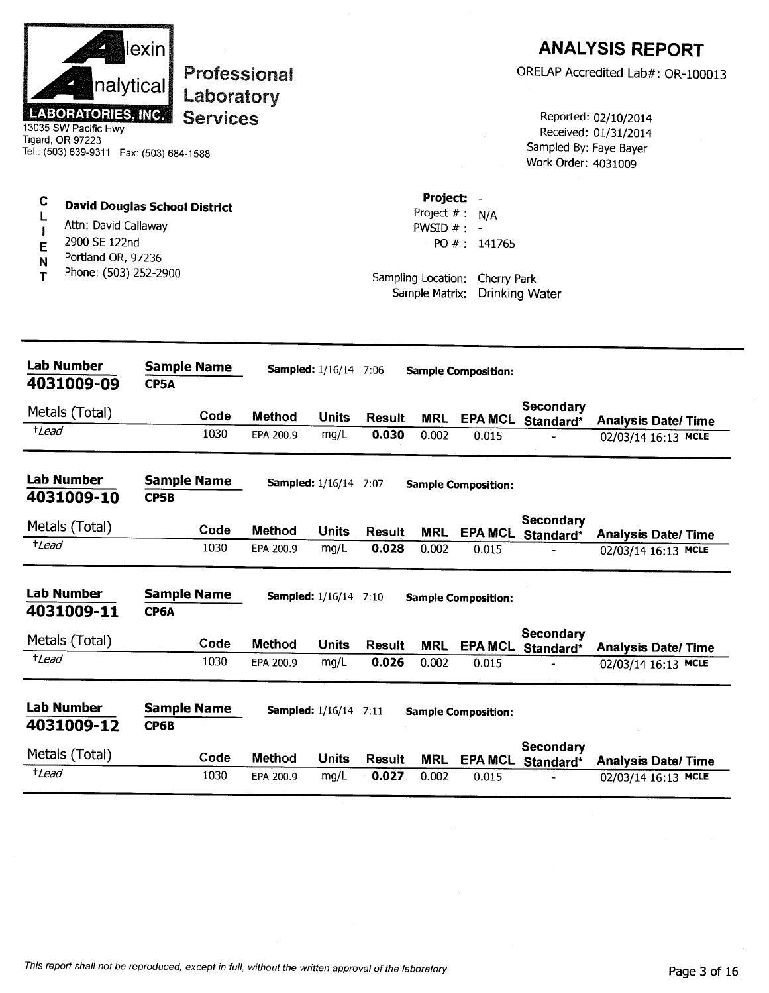| nalytical<br><b>LABORATORIES, INC.</b><br>13035 SW Pacific Hwy<br>Tigard, OR 97223<br>Tel.: (503) 639-9311  Fax: (503) 684-1588 | lexin<br>Professional<br>Laboratory<br><b>Services</b> |               |                              |               |                                                                   |                                                | Sampled By: Faye Bayer<br>Work Order: 4031009 | <b>ANALYSIS REPORT</b><br>ORELAP Accredited Lab#: OR-100013<br>Reported: 02/10/2014<br>Received: 01/31/2014 |
|---------------------------------------------------------------------------------------------------------------------------------|--------------------------------------------------------|---------------|------------------------------|---------------|-------------------------------------------------------------------|------------------------------------------------|-----------------------------------------------|-------------------------------------------------------------------------------------------------------------|
| C<br>Attn: David Callaway<br>2900 SE 122nd<br>E<br>Portland OR, 97236<br>N<br>Phone: (503) 252-2900<br>т                        | <b>David Douglas School District</b>                   |               |                              |               | Project: -<br>Project $#: N/A$<br>PWSID $# : -$<br>Sample Matrix: | PO #: 141765<br>Sampling Location: Cherry Park | <b>Drinking Water</b>                         |                                                                                                             |
| Lab Number<br>4031009-09                                                                                                        | <b>Sample Name</b><br><b>CP5A</b>                      |               | <b>Sampled:</b> 1/16/14 7:06 |               |                                                                   | <b>Sample Composition:</b>                     |                                               |                                                                                                             |
| Metals (Total)                                                                                                                  | Code                                                   | <b>Method</b> | <b>Units</b>                 | <b>Result</b> | <b>MRL</b>                                                        |                                                | Secondary<br>EPA MCL Standard*                | <b>Analysis Date/ Time</b>                                                                                  |
| $t$ <i>Lead</i>                                                                                                                 | 1030                                                   | EPA 200.9     | mg/L                         | 0.030         | 0.002                                                             | 0.015                                          |                                               | 02/03/14 16:13 MCLE                                                                                         |
| <b>Lab Number</b><br>4031009-10                                                                                                 | <b>Sample Name</b><br>CP5B                             |               | <b>Sampled:</b> 1/16/14 7:07 |               |                                                                   | <b>Sample Composition:</b>                     |                                               |                                                                                                             |
| Metals (Total)                                                                                                                  | Code                                                   | <b>Method</b> | <b>Units</b>                 | <b>Result</b> | MRL                                                               | <b>EPA MCL</b>                                 | Secondary<br>Standard*                        | <b>Analysis Date/ Time</b>                                                                                  |
| <sup>+</sup> Lead                                                                                                               | 1030                                                   | EPA 200.9     | mg/L                         | 0.028         | 0.002                                                             | 0.015                                          |                                               | 02/03/14 16:13 MCLE                                                                                         |
| <b>Lab Number</b><br>4031009-11                                                                                                 | Sample Name<br>CP6A                                    |               | <b>Sampled:</b> 1/16/14 7:10 |               |                                                                   | <b>Sample Composition:</b>                     | Secondary                                     |                                                                                                             |
| Metals (Total)                                                                                                                  | Code                                                   | <b>Method</b> | <b>Units</b>                 | <b>Result</b> | <b>MRL</b>                                                        |                                                | EPA MCL Standard*                             | <b>Analysis Date/Time</b>                                                                                   |
| $t$ Lead                                                                                                                        | 1030                                                   | EPA 200.9     | mg/L                         | 0.026         | 0.002                                                             | 0.015                                          |                                               | 02/03/14 16:13 MCLE                                                                                         |
| <b>Lab Number</b><br>4031009-12                                                                                                 | <b>Sample Name</b><br>CP6B                             |               | <b>Sampled:</b> 1/16/14 7:11 |               |                                                                   | <b>Sample Composition:</b>                     |                                               |                                                                                                             |
| Metals (Total)                                                                                                                  | Code                                                   | <b>Method</b> | <b>Units</b>                 | <b>Result</b> | <b>MRL</b>                                                        | <b>EPA MCL</b>                                 | Secondary<br>Standard*                        | <b>Analysis Date/ Time</b>                                                                                  |
| tLead                                                                                                                           | 1030                                                   | EPA 200.9     | mg/L                         | 0.027         | 0.002                                                             | 0.015                                          |                                               | 02/03/14 16:13 MCLE                                                                                         |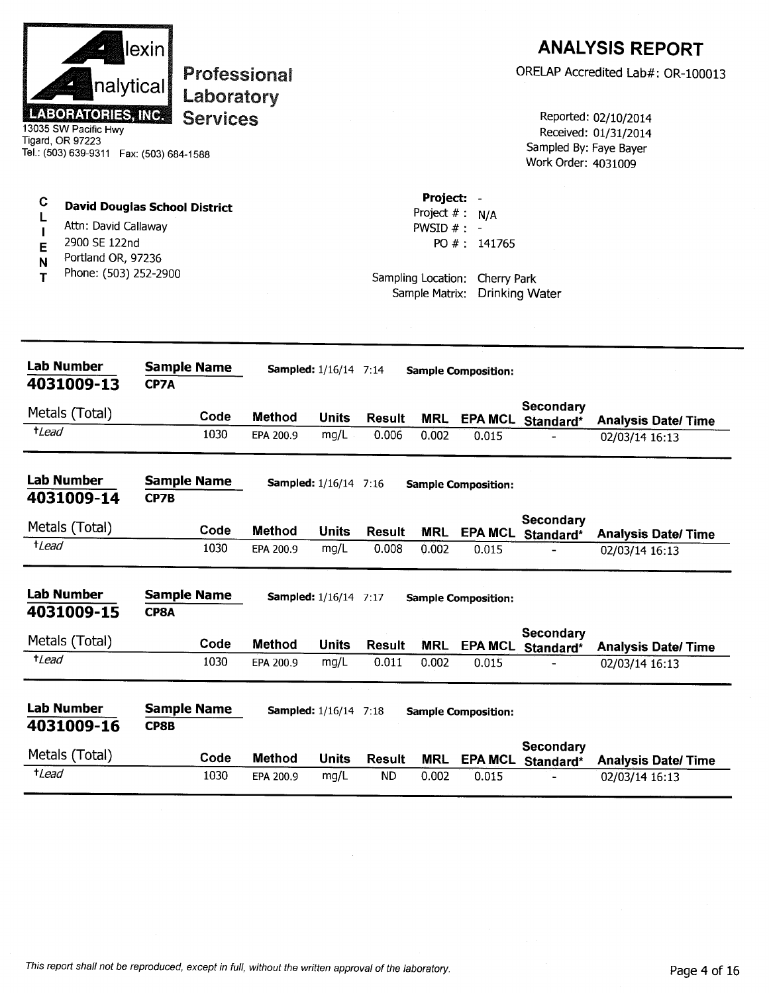| nalytical<br><b>LABORATORIES, INC.</b><br>13035 SW Pacific Hwy<br>Tigard, OR 97223<br>Tel.: (503) 639-9311  Fax: (503) 684-1588                  | lexin | Professional<br>Laboratory<br><b>Services</b> |                            |                                                      |                        |                                                                                          |                                                       | Sampled By: Faye Bayer<br>Work Order: 4031009 | <b>ANALYSIS REPORT</b><br>ORELAP Accredited Lab#: OR-100013<br>Reported: 02/10/2014<br>Received: 01/31/2014 |
|--------------------------------------------------------------------------------------------------------------------------------------------------|-------|-----------------------------------------------|----------------------------|------------------------------------------------------|------------------------|------------------------------------------------------------------------------------------|-------------------------------------------------------|-----------------------------------------------|-------------------------------------------------------------------------------------------------------------|
| C<br><b>David Douglas School District</b><br>Attn: David Callaway<br>2900 SE 122nd<br>E<br>Portland OR, 97236<br>N<br>Phone: (503) 252-2900<br>т |       |                                               |                            |                                                      |                        | Project: -<br>Project $# : N/A$<br>PWSID $# : -$<br>Sampling Location:<br>Sample Matrix: | PO #: 141765<br>Cherry Park                           | <b>Drinking Water</b>                         |                                                                                                             |
| <b>Lab Number</b><br>4031009-13                                                                                                                  | CP7A  | <b>Sample Name</b>                            |                            | <b>Sampled:</b> 1/16/14 7:14                         |                        |                                                                                          | <b>Sample Composition:</b>                            | <b>Secondary</b>                              |                                                                                                             |
| Metals (Total)<br>$t$ <i>Lead</i>                                                                                                                |       | Code<br>1030                                  | <b>Method</b><br>EPA 200.9 | Units<br>mg/L                                        | <b>Result</b><br>0.006 | <b>MRL</b><br>0.002                                                                      | 0.015                                                 | EPA MCL Standard*                             | <b>Analysis Date/Time</b><br>02/03/14 16:13                                                                 |
| <b>Lab Number</b><br>4031009-14                                                                                                                  | CP7B  | <b>Sample Name</b>                            |                            | <b>Sampled:</b> 1/16/14 7:16                         |                        |                                                                                          | <b>Sample Composition:</b>                            |                                               |                                                                                                             |
| Metals (Total)<br><i>tLead</i>                                                                                                                   |       | Code<br>1030                                  | <b>Method</b><br>EPA 200.9 | Units<br>mg/L                                        | <b>Result</b><br>0.008 | <b>MRL</b><br>0.002                                                                      | <b>EPA MCL</b><br>0.015                               | Secondary<br>Standard*                        | <b>Analysis Date/Time</b><br>02/03/14 16:13                                                                 |
| <b>Lab Number</b><br>4031009-15<br>Metals (Total)<br>$t$ <i>Lead</i>                                                                             | CP8A  | <b>Sample Name</b><br>Code<br>1030            | <b>Method</b><br>EPA 200.9 | <b>Sampled:</b> 1/16/14 7:17<br><b>Units</b><br>mg/L | <b>Result</b><br>0.011 | <b>MRL</b><br>0.002                                                                      | <b>Sample Composition:</b><br><b>EPA MCL</b><br>0.015 | Secondary<br>Standard*                        | <b>Analysis Date/ Time</b><br>02/03/14 16:13                                                                |
| <b>Lab Number</b><br>4031009-16<br>Metals (Total)                                                                                                | CP8B  | <b>Sample Name</b><br>Code                    | <b>Method</b>              | <b>Sampled:</b> 1/16/14 7:18<br><b>Units</b>         | <b>Result</b>          | <b>MRL</b>                                                                               | <b>Sample Composition:</b><br><b>EPA MCL</b>          | Secondary<br>Standard*                        | <b>Analysis Date/Time</b>                                                                                   |
| $t$ <i>Lead</i>                                                                                                                                  |       | 1030                                          | EPA 200.9                  | mg/L                                                 | <b>ND</b>              | 0.002                                                                                    | 0.015                                                 |                                               | 02/03/14 16:13                                                                                              |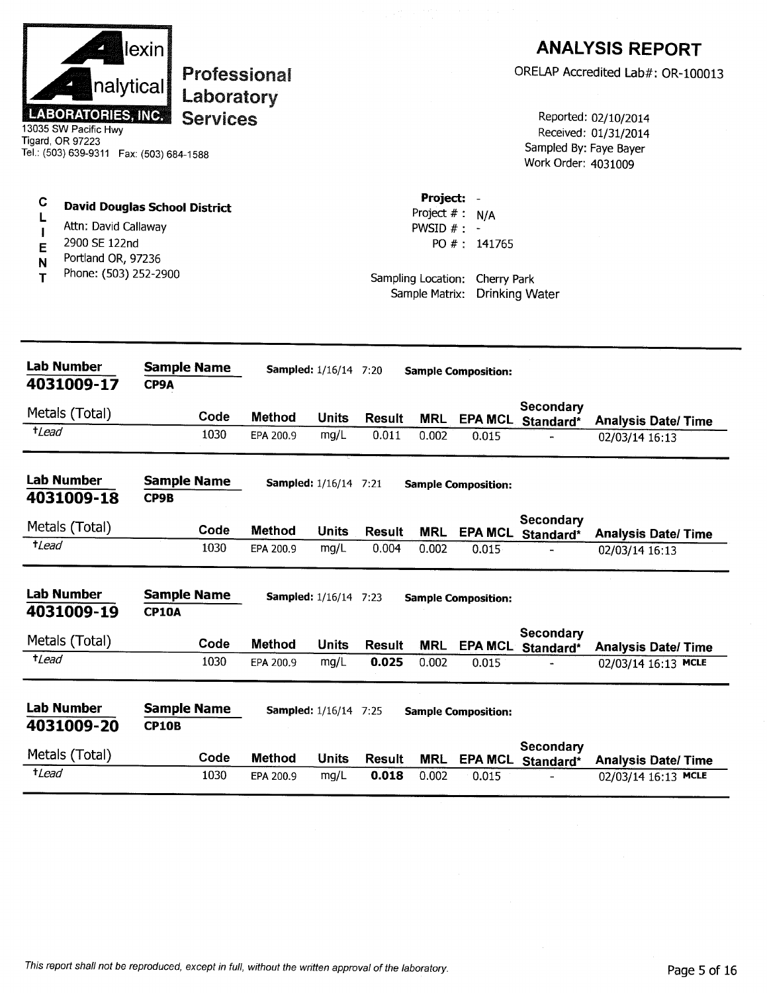|                                                                                                                    | lexin                                |                                   |                              |                        |                                           |                                |                                               | <b>ANALYSIS REPORT</b>                           |
|--------------------------------------------------------------------------------------------------------------------|--------------------------------------|-----------------------------------|------------------------------|------------------------|-------------------------------------------|--------------------------------|-----------------------------------------------|--------------------------------------------------|
| nalytical                                                                                                          |                                      | <b>Professional</b><br>Laboratory |                              |                        |                                           |                                |                                               | ORELAP Accredited Lab#: OR-100013                |
| <b>LABORATORIES, INC.</b><br>13035 SW Pacific Hwy<br>Tigard, OR 97223<br>Tel.: (503) 639-9311  Fax: (503) 684-1588 | <b>Services</b>                      |                                   |                              |                        |                                           |                                | Sampled By: Faye Bayer<br>Work Order: 4031009 | Reported: 02/10/2014<br>Received: 01/31/2014     |
| C<br>L<br>Attn: David Callaway<br>2900 SE 122nd<br>E                                                               | <b>David Douglas School District</b> |                                   |                              |                        | Project: -<br>Project #:<br>PWSID $# : -$ | N/A<br>PO #: 141765            |                                               |                                                  |
| Portland OR, 97236<br>N<br>Phone: (503) 252-2900<br>Т                                                              |                                      |                                   |                              |                        | Sample Matrix:                            | Sampling Location: Cherry Park | <b>Drinking Water</b>                         |                                                  |
| <b>Lab Number</b><br>4031009-17                                                                                    | <b>Sample Name</b><br>CP9A           |                                   | <b>Sampled:</b> 1/16/14 7:20 |                        |                                           | <b>Sample Composition:</b>     |                                               |                                                  |
| Metals (Total)                                                                                                     | Code                                 | <b>Method</b>                     | <b>Units</b>                 | <b>Result</b>          | <b>MRL</b>                                |                                | Secondary                                     |                                                  |
| $t$ Lead                                                                                                           | 1030                                 | EPA 200.9                         | mg/L                         | 0.011                  | 0.002                                     | 0.015                          | EPA MCL Standard*                             | <b>Analysis Date/ Time</b><br>02/03/14 16:13     |
| <b>Lab Number</b>                                                                                                  | <b>Sample Name</b>                   |                                   | <b>Sampled:</b> 1/16/14 7:21 |                        |                                           | <b>Sample Composition:</b>     |                                               |                                                  |
| 4031009-18                                                                                                         | CP9B                                 |                                   |                              |                        |                                           |                                | Secondary                                     |                                                  |
| Metals (Total)                                                                                                     | Code                                 | <b>Method</b>                     | <b>Units</b>                 | <b>Result</b>          | <b>MRL</b>                                |                                | EPA MCL Standard*                             | <b>Analysis Date/Time</b>                        |
| $t$ <i>Lead</i>                                                                                                    | 1030                                 | EPA 200.9                         | mg/L                         | 0.004                  | 0.002                                     | 0.015                          |                                               | 02/03/14 16:13                                   |
| <b>Lab Number</b><br>4031009-19                                                                                    | <b>Sample Name</b><br><b>CP10A</b>   |                                   | <b>Sampled:</b> 1/16/14 7:23 |                        |                                           | <b>Sample Composition:</b>     |                                               |                                                  |
| Metals (Total)                                                                                                     |                                      |                                   |                              |                        |                                           |                                | <b>Secondary</b>                              |                                                  |
| <i>t</i> Lead                                                                                                      | Code<br>1030                         | <b>Method</b><br>EPA 200.9        | <b>Units</b><br>mg/L         | <b>Result</b><br>0.025 | <b>MRL</b><br>0.002                       | <b>EPA MCL</b><br>0.015        | Standard*                                     | <b>Analysis Date/Time</b><br>02/03/14 16:13 MCLE |
|                                                                                                                    | <b>Sample Name</b>                   |                                   | <b>Sampled:</b> 1/16/14 7:25 |                        |                                           | <b>Sample Composition:</b>     |                                               |                                                  |
| <b>Lab Number</b>                                                                                                  |                                      |                                   |                              |                        |                                           |                                |                                               |                                                  |
|                                                                                                                    | <b>CP10B</b>                         |                                   |                              |                        |                                           |                                |                                               |                                                  |
| 4031009-20<br>Metals (Total)<br>$t$ <i>Lead</i>                                                                    | Code                                 | <b>Method</b>                     | <b>Units</b>                 | <b>Result</b>          | <b>MRL</b>                                | <b>EPA MCL</b>                 | Secondary<br>Standard*                        | <b>Analysis Date/Time</b>                        |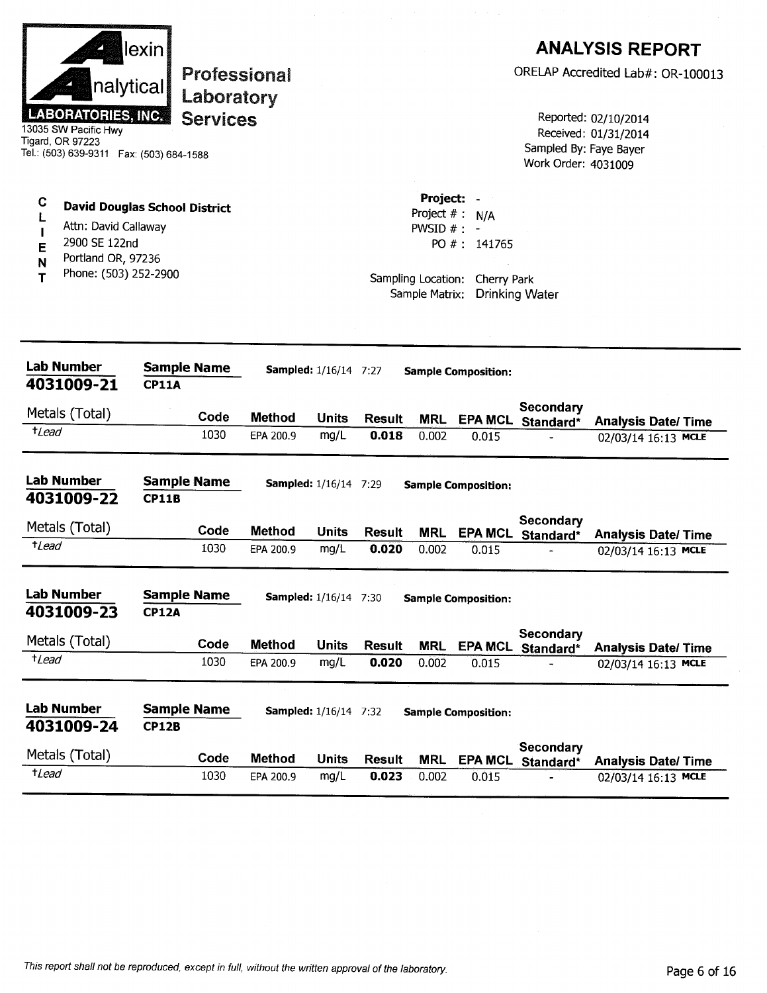|                       | nalytical<br><b>LABORATORIES, INC.</b><br>13035 SW Pacific Hwy<br>Tigard, OR 97223                                           | lexin                              | <b>Professional</b><br>Laboratory<br><b>Services</b> |               |                              |                        |                                                                                    |                                    | Sampled By: Faye Bayer<br>Work Order: 4031009 | <b>ANALYSIS REPORT</b><br>ORELAP Accredited Lab#: OR-100013<br>Reported: 02/10/2014<br>Received: 01/31/2014 |
|-----------------------|------------------------------------------------------------------------------------------------------------------------------|------------------------------------|------------------------------------------------------|---------------|------------------------------|------------------------|------------------------------------------------------------------------------------|------------------------------------|-----------------------------------------------|-------------------------------------------------------------------------------------------------------------|
| C<br>L<br>E<br>N<br>т | <b>David Douglas School District</b><br>Attn: David Callaway<br>2900 SE 122nd<br>Portland OR, 97236<br>Phone: (503) 252-2900 |                                    |                                                      |               |                              |                        | Project:<br>Project $#$ :<br>PWSID $#$ : -<br>Sampling Location:<br>Sample Matrix: | N/A<br>PO #: 141765<br>Cherry Park | <b>Drinking Water</b>                         |                                                                                                             |
|                       | <b>Lab Number</b><br>4031009-21                                                                                              | <b>Sample Name</b><br><b>CP11A</b> |                                                      |               | Sampled: 1/16/14 7:27        |                        |                                                                                    | <b>Sample Composition:</b>         |                                               |                                                                                                             |
|                       | Metals (Total)                                                                                                               |                                    | Code                                                 | <b>Method</b> |                              |                        |                                                                                    |                                    | Secondary                                     |                                                                                                             |
| $t$ <i>Lead</i>       |                                                                                                                              |                                    | 1030                                                 | EPA 200.9     | Units<br>mg/L                | <b>Result</b><br>0.018 | <b>MRL</b><br>0.002                                                                | 0.015                              | EPA MCL Standard*                             | <b>Analysis Date/Time</b><br>02/03/14 16:13 MCLE                                                            |
|                       | <b>Lab Number</b><br>4031009-22                                                                                              | <b>Sample Name</b><br><b>CP11B</b> |                                                      |               | <b>Sampled:</b> 1/16/14 7:29 |                        |                                                                                    | <b>Sample Composition:</b>         |                                               |                                                                                                             |
|                       | Metals (Total)                                                                                                               |                                    | Code                                                 | <b>Method</b> | <b>Units</b>                 | Result                 | <b>MRL</b>                                                                         |                                    | Secondary<br>EPA MCL Standard*                | <b>Analysis Date/Time</b>                                                                                   |
| $t$ <i>Lead</i>       |                                                                                                                              |                                    | 1030                                                 | EPA 200.9     | mg/L                         | 0.020                  | 0.002                                                                              | 0.015                              |                                               | 02/03/14 16:13 MCLE                                                                                         |
|                       | <b>Lab Number</b><br>4031009-23                                                                                              | <b>Sample Name</b><br><b>CP12A</b> |                                                      |               | <b>Sampled:</b> 1/16/14 7:30 |                        |                                                                                    | <b>Sample Composition:</b>         |                                               |                                                                                                             |
|                       | Metals (Total)                                                                                                               |                                    | Code                                                 | <b>Method</b> | <b>Units</b>                 | <b>Result</b>          | <b>MRL</b>                                                                         |                                    | Secondary<br>EPA MCL Standard*                | <b>Analysis Date/Time</b>                                                                                   |
| $t$ Lead              |                                                                                                                              |                                    | 1030                                                 | EPA 200.9     | mg/L                         | 0.020                  | 0.002                                                                              | 0.015                              |                                               | 02/03/14 16:13 MCLE                                                                                         |
|                       | <b>Lab Number</b><br>4031009-24                                                                                              | <b>Sample Name</b><br><b>CP12B</b> |                                                      |               | <b>Sampled:</b> 1/16/14 7:32 |                        |                                                                                    | <b>Sample Composition:</b>         |                                               |                                                                                                             |
|                       | Metals (Total)                                                                                                               |                                    | Code                                                 | Method        | <b>Units</b>                 | <b>Result</b>          | <b>MRL</b>                                                                         | <b>EPA MCL</b>                     | Secondary<br>Standard*                        | <b>Analysis Date/Time</b>                                                                                   |
| $t$ <i>Lead</i>       |                                                                                                                              |                                    | 1030                                                 | EPA 200.9     | mg/L                         | 0.023                  | 0.002                                                                              | 0.015                              |                                               | 02/03/14 16:13 MCLE                                                                                         |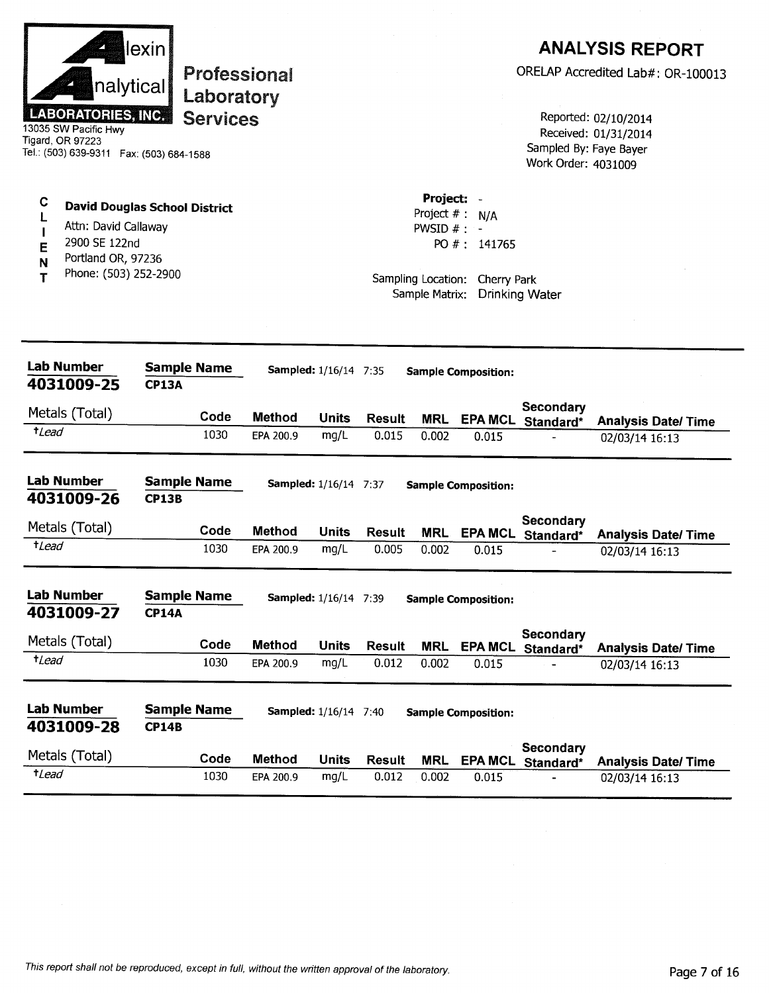|                  | nalytical<br><b>LABORATORIES, INC.</b><br>13035 SW Pacific Hwy<br>Tigard, OR 97223<br>Tel.: (503) 639-9311  Fax: (503) 684-1588 | lexin                              | Professional<br>Laboratory<br><b>Services</b> |                            |                              |                        |                                                                     |                                                  | Sampled By: Faye Bayer<br>Work Order: 4031009 | <b>ANALYSIS REPORT</b><br>ORELAP Accredited Lab#: OR-100013<br>Reported: 02/10/2014<br>Received: 01/31/2014 |
|------------------|---------------------------------------------------------------------------------------------------------------------------------|------------------------------------|-----------------------------------------------|----------------------------|------------------------------|------------------------|---------------------------------------------------------------------|--------------------------------------------------|-----------------------------------------------|-------------------------------------------------------------------------------------------------------------|
| C<br>E<br>N<br>т | <b>David Douglas School District</b><br>Attn: David Callaway<br>2900 SE 122nd<br>Portland OR, 97236<br>Phone: (503) 252-2900    |                                    |                                               |                            |                              |                        | Project: -<br>PWSID $# : -$<br>Sampling Location:<br>Sample Matrix: | Project $# : N/A$<br>PO #: 141765<br>Cherry Park | <b>Drinking Water</b>                         |                                                                                                             |
|                  | <b>Lab Number</b><br>4031009-25                                                                                                 | <b>Sample Name</b><br><b>CP13A</b> |                                               |                            | <b>Sampled:</b> 1/16/14 7:35 |                        |                                                                     | <b>Sample Composition:</b>                       |                                               |                                                                                                             |
|                  | Metals (Total)                                                                                                                  |                                    | Code                                          | <b>Method</b>              | <b>Units</b>                 | <b>Result</b>          | <b>MRL</b>                                                          | <b>EPA MCL</b>                                   | Secondary                                     |                                                                                                             |
| $t$ <i>Lead</i>  |                                                                                                                                 |                                    | 1030                                          | EPA 200.9                  | mg/L                         | 0.015                  | 0.002                                                               | 0.015                                            | Standard*                                     | <b>Analysis Date/Time</b><br>02/03/14 16:13                                                                 |
|                  | <b>Lab Number</b><br>4031009-26                                                                                                 | <b>Sample Name</b><br><b>CP13B</b> |                                               |                            | Sampled: 1/16/14 7:37        |                        |                                                                     | <b>Sample Composition:</b>                       |                                               |                                                                                                             |
|                  | Metals (Total)                                                                                                                  |                                    | Code                                          | <b>Method</b>              | Units                        | <b>Result</b>          | <b>MRL</b>                                                          | <b>EPA MCL</b>                                   | <b>Secondary</b><br>Standard*                 | <b>Analysis Date/ Time</b>                                                                                  |
| $t$ <i>Lead</i>  |                                                                                                                                 |                                    | 1030                                          | EPA 200.9                  | mg/L                         | 0.005                  | 0.002                                                               | 0.015                                            |                                               | 02/03/14 16:13                                                                                              |
|                  | Lab Number<br>4031009-27                                                                                                        | <b>Sample Name</b><br><b>CP14A</b> |                                               |                            | <b>Sampled:</b> 1/16/14 7:39 |                        |                                                                     | <b>Sample Composition:</b>                       |                                               |                                                                                                             |
|                  |                                                                                                                                 |                                    |                                               |                            |                              |                        |                                                                     |                                                  |                                               |                                                                                                             |
|                  | Metals (Total)                                                                                                                  |                                    |                                               |                            |                              |                        |                                                                     |                                                  | Secondary                                     |                                                                                                             |
| $t$ Lead         |                                                                                                                                 |                                    | Code<br>1030                                  | <b>Method</b><br>EPA 200.9 | <b>Units</b><br>mg/L         | <b>Result</b><br>0.012 | <b>MRL</b><br>0.002                                                 | <b>EPA MCL</b><br>0.015                          | Standard*                                     | <b>Analysis Date/Time</b><br>02/03/14 16:13                                                                 |
|                  | <b>Lab Number</b><br>4031009-28                                                                                                 | <b>Sample Name</b><br><b>CP14B</b> |                                               |                            | <b>Sampled:</b> 1/16/14 7:40 |                        |                                                                     | <b>Sample Composition:</b>                       |                                               |                                                                                                             |
|                  | Metals (Total)                                                                                                                  |                                    | Code                                          | Method                     | <b>Units</b>                 | <b>Result</b>          | <b>MRL</b>                                                          | <b>EPA MCL</b>                                   | Secondary<br>Standard*                        | <b>Analysis Date/Time</b>                                                                                   |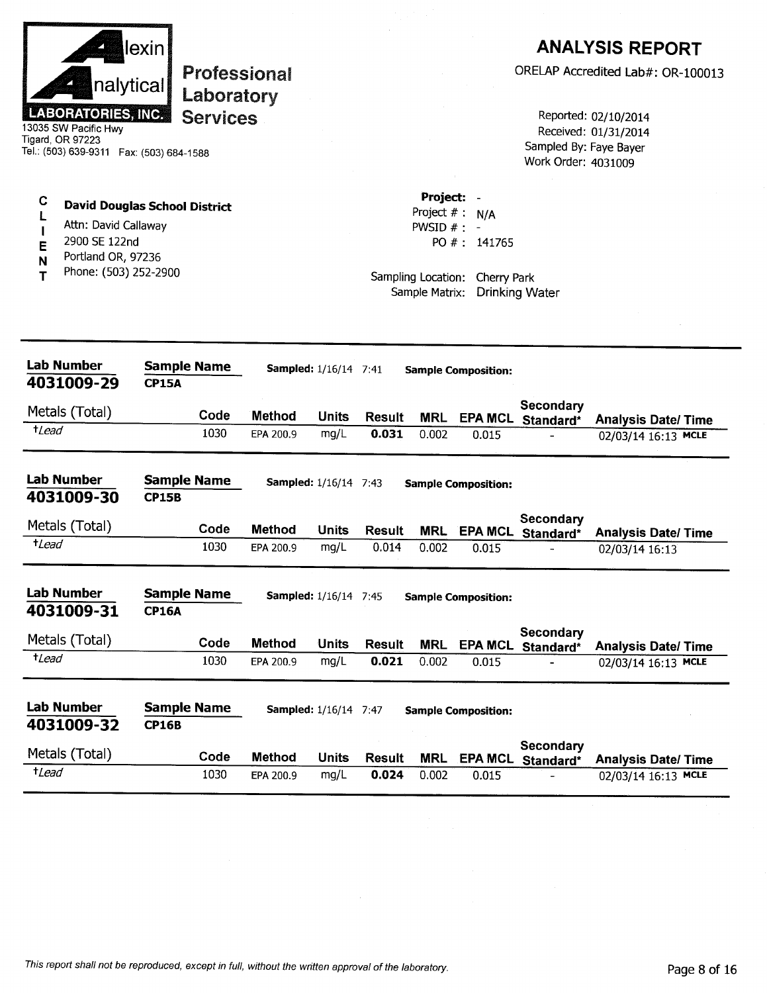

# **Professional** Laboratory **Services**

13035 SW Pacific Hwy Tigard, OR 97223 Tel.: (503) 639-9311 Fax: (503) 684-1588

### $\mathbf C$ **David Douglas School District**  $\mathbf{L}$

- Attn: David Callaway  $\overline{\phantom{a}}$
- 2900 SE 122nd E
- Portland OR, 97236 N
- Phone: (503) 252-2900 T

## **ANALYSIS REPORT**

ORELAP Accredited Lab#: OR-100013

Reported: 02/10/2014 Received: 01/31/2014 Sampled By: Faye Bayer Work Order: 4031009

Project: -Project  $# : N/A$ PWSID  $#$  : -PO #: 141765

Sampling Location: Cherry Park Sample Matrix: Drinking Water

| <b>Lab Number</b><br>4031009-29 | <b>Sample Name</b><br><b>CP15A</b> |               | <b>Sampled:</b> 1/16/14 7:41 |               |            | <b>Sample Composition:</b> |                        |                            |
|---------------------------------|------------------------------------|---------------|------------------------------|---------------|------------|----------------------------|------------------------|----------------------------|
| Metals (Total)                  | Code                               | <b>Method</b> | <b>Units</b>                 | <b>Result</b> | <b>MRL</b> | <b>EPA MCL</b>             | Secondary<br>Standard* | <b>Analysis Date/Time</b>  |
| $t$ <i>Lead</i>                 | 1030                               | EPA 200.9     | mg/L                         | 0.031         | 0.002      | 0.015                      |                        | 02/03/14 16:13 MCLE        |
| Lab Number<br>4031009-30        | <b>Sample Name</b><br><b>CP15B</b> |               | <b>Sampled:</b> 1/16/14 7:43 |               |            | <b>Sample Composition:</b> |                        |                            |
| Metals (Total)                  | Code                               | <b>Method</b> | Units                        | <b>Result</b> | <b>MRL</b> | <b>EPA MCL</b>             | Secondary<br>Standard* | <b>Analysis Date/ Time</b> |
| $t$ <i>Lead</i>                 | 1030                               | EPA 200.9     | mg/L                         | 0.014         | 0.002      | 0.015                      |                        | 02/03/14 16:13             |
| <b>Lab Number</b><br>4031009-31 | <b>Sample Name</b><br><b>CP16A</b> |               | <b>Sampled:</b> 1/16/14 7:45 |               |            | <b>Sample Composition:</b> |                        |                            |
| Metals (Total)                  | Code                               | <b>Method</b> | <b>Units</b>                 | <b>Result</b> | <b>MRL</b> | <b>EPA MCL</b>             | Secondary<br>Standard* | <b>Analysis Date/Time</b>  |
| +Lead                           | 1030                               | EPA 200.9     | mg/L                         | 0.021         | 0.002      | 0.015                      |                        | 02/03/14 16:13 MCLE        |
| <b>Lab Number</b><br>4031009-32 | <b>Sample Name</b><br><b>CP16B</b> |               | <b>Sampled:</b> 1/16/14 7:47 |               |            | <b>Sample Composition:</b> |                        |                            |
| Metals (Total)                  | Code                               | <b>Method</b> | <b>Units</b>                 | <b>Result</b> | <b>MRL</b> | <b>EPA MCL</b>             | Secondary<br>Standard* | <b>Analysis Date/Time</b>  |
| <sup>+</sup> Lead               | 1030                               | EPA 200.9     | mg/L                         | 0.024         | 0.002      | 0.015                      |                        | 02/03/14 16:13 MCLE        |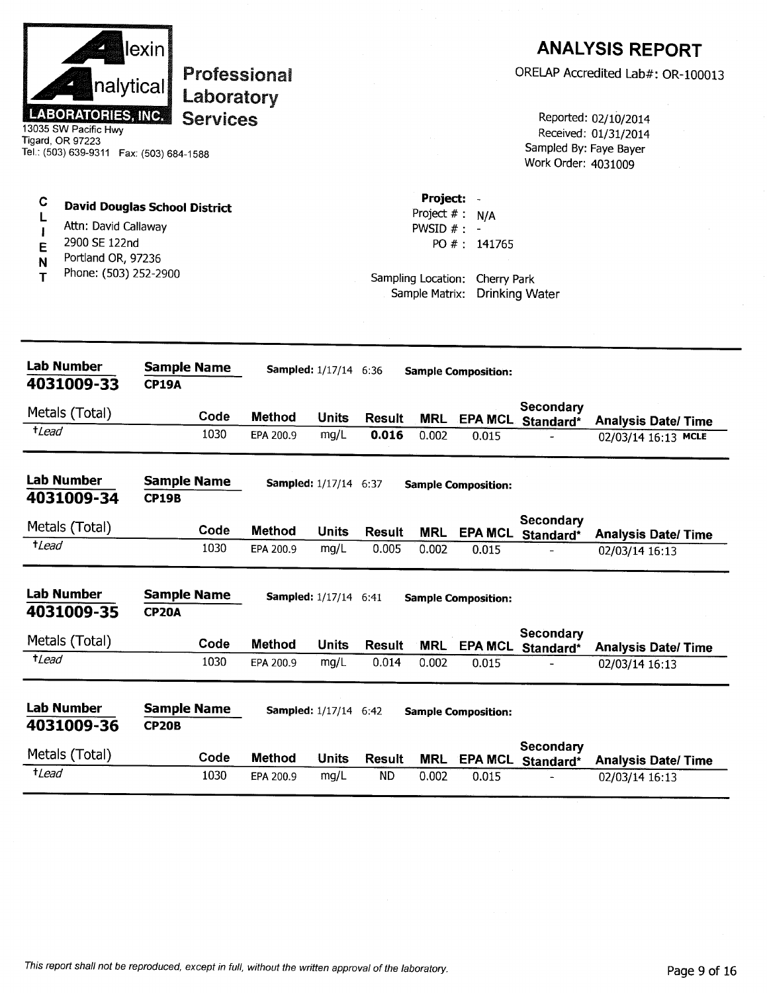| <b>LABORATORIES, INC.</b><br>13035 SW Pacific Hwy<br>Tigard, OR 97223<br>Tel.: (503) 639-9311  Fax: (503) 684-1588 | lexin<br><b>Professional</b><br>nalytical<br>Laboratory<br><b>Services</b> |               |                              |               |                                                                   |                                                | Sampled By: Faye Bayer<br>Work Order: 4031009 | <b>ANALYSIS REPORT</b><br>ORELAP Accredited Lab#: OR-100013<br>Reported: 02/10/2014<br>Received: 01/31/2014 |
|--------------------------------------------------------------------------------------------------------------------|----------------------------------------------------------------------------|---------------|------------------------------|---------------|-------------------------------------------------------------------|------------------------------------------------|-----------------------------------------------|-------------------------------------------------------------------------------------------------------------|
| С<br>Attn: David Callaway<br>2900 SE 122nd<br>E<br>Portland OR, 97236<br>N<br>Phone: (503) 252-2900<br>т           | <b>David Douglas School District</b>                                       |               |                              |               | Project: -<br>Project $#: N/A$<br>PWSID $#$ : -<br>Sample Matrix: | PO #: 141765<br>Sampling Location: Cherry Park | <b>Drinking Water</b>                         |                                                                                                             |
| Lab Number<br>4031009-33                                                                                           | <b>Sample Name</b><br><b>CP19A</b>                                         |               | Sampled: 1/17/14 6:36        |               |                                                                   | <b>Sample Composition:</b>                     |                                               |                                                                                                             |
| Metals (Total)                                                                                                     | Code                                                                       | <b>Method</b> | <b>Units</b>                 | <b>Result</b> |                                                                   |                                                | Secondary                                     |                                                                                                             |
| $t$ Lead                                                                                                           | 1030                                                                       | EPA 200.9     | mg/L                         | 0.016         | MRL<br>0.002                                                      | 0.015                                          | EPA MCL Standard*                             | <b>Analysis Date/Time</b><br>02/03/14 16:13 MCLE                                                            |
| <b>Lab Number</b><br>4031009-34                                                                                    | <b>Sample Name</b><br><b>CP19B</b>                                         |               | <b>Sampled:</b> 1/17/14 6:37 |               |                                                                   | <b>Sample Composition:</b>                     |                                               |                                                                                                             |
| Metals (Total)                                                                                                     | Code                                                                       | <b>Method</b> | Units                        | Result        | <b>MRL</b>                                                        |                                                | <b>Secondary</b><br>EPA MCL Standard*         | <b>Analysis Date/Time</b>                                                                                   |
| $t$ Lead                                                                                                           | 1030                                                                       | EPA 200.9     | mg/L                         | 0.005         | 0.002                                                             | 0.015                                          |                                               | 02/03/14 16:13                                                                                              |
| <b>Lab Number</b><br>4031009-35                                                                                    | <b>Sample Name</b><br><b>CP20A</b>                                         |               | <b>Sampled:</b> 1/17/14 6:41 |               |                                                                   | <b>Sample Composition:</b>                     |                                               |                                                                                                             |
| Metals (Total)                                                                                                     | Code                                                                       | Method        | <b>Units</b>                 | <b>Result</b> | <b>MRL</b>                                                        | <b>EPA MCL</b>                                 | <b>Secondary</b><br>Standard*                 | <b>Analysis Date/Time</b>                                                                                   |
| $t$ Lead                                                                                                           | 1030                                                                       | EPA 200.9     | mg/L                         | 0.014         | 0.002                                                             | 0.015                                          |                                               | 02/03/14 16:13                                                                                              |
| <b>Lab Number</b><br>4031009-36                                                                                    | <b>Sample Name</b><br><b>CP20B</b>                                         |               | <b>Sampled:</b> 1/17/14 6:42 |               |                                                                   | <b>Sample Composition:</b>                     |                                               |                                                                                                             |
| Metals (Total)                                                                                                     | Code                                                                       | Method        | <b>Units</b>                 | <b>Result</b> | <b>MRL</b>                                                        |                                                | Secondary<br>EPA MCL Standard*                | <b>Analysis Date/Time</b>                                                                                   |
| $t$ Lead                                                                                                           | 1030                                                                       | EPA 200.9     | mg/L                         | <b>ND</b>     | 0.002                                                             | 0.015                                          |                                               | 02/03/14 16:13                                                                                              |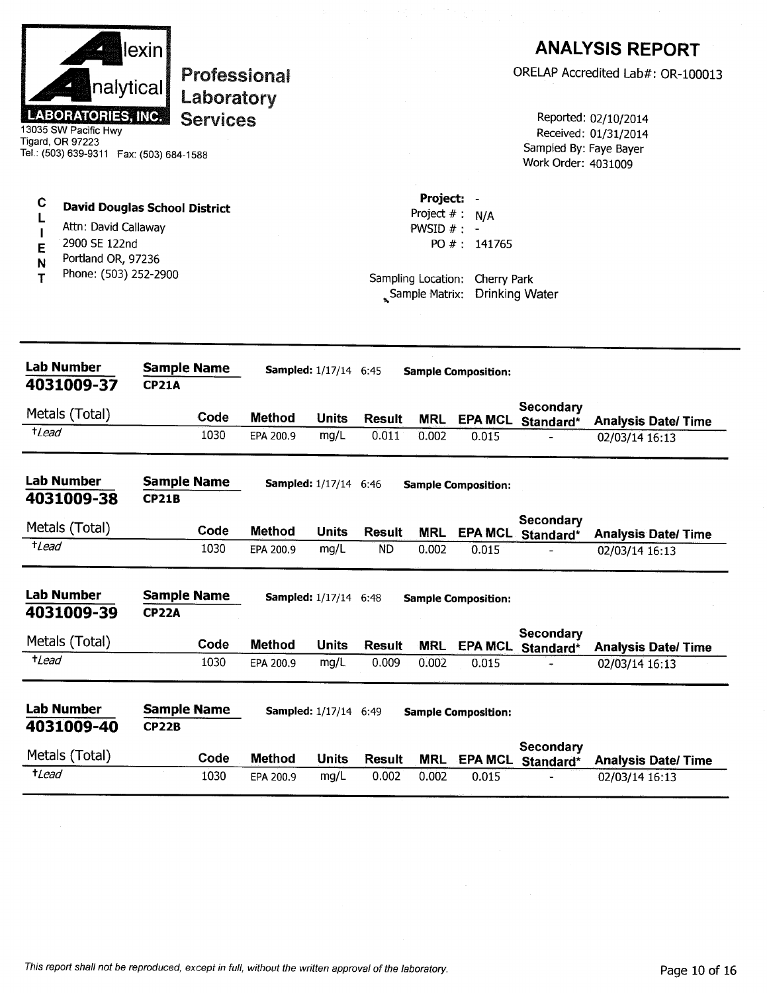| <b>LABORATORIES, INC.</b><br>13035 SW Pacific Hwy<br>Tigard, OR 97223<br>Tel.: (503) 639-9311  Fax: (503) 684-1588 | lexin<br>nalytical                                                                                          | <b>Professional</b><br>Laboratory<br><b>Services</b> |               |                              |               |                                                                                        |                             | Sampled By: Faye Bayer<br>Work Order: 4031009 | <b>ANALYSIS REPORT</b><br>ORELAP Accredited Lab#: OR-100013<br>Reported: 02/10/2014<br>Received: 01/31/2014 |
|--------------------------------------------------------------------------------------------------------------------|-------------------------------------------------------------------------------------------------------------|------------------------------------------------------|---------------|------------------------------|---------------|----------------------------------------------------------------------------------------|-----------------------------|-----------------------------------------------|-------------------------------------------------------------------------------------------------------------|
| C<br>2900 SE 122nd<br>E<br>N<br>т                                                                                  | <b>David Douglas School District</b><br>Attn: David Callaway<br>Portland OR, 97236<br>Phone: (503) 252-2900 |                                                      |               |                              |               | Project:<br>Project $# : N/A$<br>PWSID $#$ : -<br>Sampling Location:<br>Sample Matrix: | PO #: 141765<br>Cherry Park | <b>Drinking Water</b>                         |                                                                                                             |
| <b>Lab Number</b><br>4031009-37                                                                                    | <b>CP21A</b>                                                                                                | <b>Sample Name</b>                                   |               | <b>Sampled:</b> 1/17/14 6:45 |               |                                                                                        | <b>Sample Composition:</b>  |                                               |                                                                                                             |
| Metals (Total)                                                                                                     |                                                                                                             | Code                                                 | <b>Method</b> | <b>Units</b>                 | <b>Result</b> | <b>MRL</b>                                                                             |                             | Secondary                                     |                                                                                                             |
| <sup>t</sup> Lead                                                                                                  |                                                                                                             | 1030                                                 | EPA 200.9     | mg/L                         | 0.011         | 0.002                                                                                  | 0.015                       | EPA MCL Standard*                             | <b>Analysis Date/Time</b><br>02/03/14 16:13                                                                 |
| <b>Lab Number</b><br>4031009-38                                                                                    | <b>CP21B</b>                                                                                                | <b>Sample Name</b>                                   |               | <b>Sampled:</b> 1/17/14 6:46 |               |                                                                                        | <b>Sample Composition:</b>  |                                               |                                                                                                             |
| Metals (Total)                                                                                                     |                                                                                                             | Code                                                 | <b>Method</b> | <b>Units</b>                 | <b>Result</b> | <b>MRL</b>                                                                             | <b>EPA MCL</b>              | Secondary<br>Standard*                        | <b>Analysis Date/Time</b>                                                                                   |
| $t$ <i>Lead</i>                                                                                                    |                                                                                                             | 1030                                                 | EPA 200.9     | mg/L                         | <b>ND</b>     | 0.002                                                                                  | 0.015                       |                                               | 02/03/14 16:13                                                                                              |
| <b>Lab Number</b><br>4031009-39                                                                                    | <b>CP22A</b>                                                                                                | <b>Sample Name</b>                                   |               | <b>Sampled:</b> 1/17/14 6:48 |               |                                                                                        | <b>Sample Composition:</b>  | Secondary                                     |                                                                                                             |
| Metals (Total)                                                                                                     |                                                                                                             | Code                                                 | <b>Method</b> | <b>Units</b>                 | <b>Result</b> | <b>MRL</b>                                                                             |                             | EPA MCL Standard*                             | <b>Analysis Date/Time</b>                                                                                   |
| $t$ <i>Lead</i>                                                                                                    |                                                                                                             | 1030                                                 | EPA 200.9     | mg/L                         | 0.009         | 0.002                                                                                  | 0.015                       |                                               | 02/03/14 16:13                                                                                              |
| <b>Lab Number</b><br>4031009-40                                                                                    | <b>CP22B</b>                                                                                                | <b>Sample Name</b>                                   |               | <b>Sampled:</b> 1/17/14 6:49 |               |                                                                                        | <b>Sample Composition:</b>  |                                               |                                                                                                             |
| Metals (Total)                                                                                                     |                                                                                                             | Code                                                 | <b>Method</b> | <b>Units</b>                 | <b>Result</b> | MRL                                                                                    |                             | Secondary<br>EPA MCL Standard*                | <b>Analysis Date/Time</b>                                                                                   |
| $t$ Lead                                                                                                           |                                                                                                             | 1030                                                 | EPA 200.9     | mg/L                         | 0.002         | 0.002                                                                                  | 0.015                       |                                               | 02/03/14 16:13                                                                                              |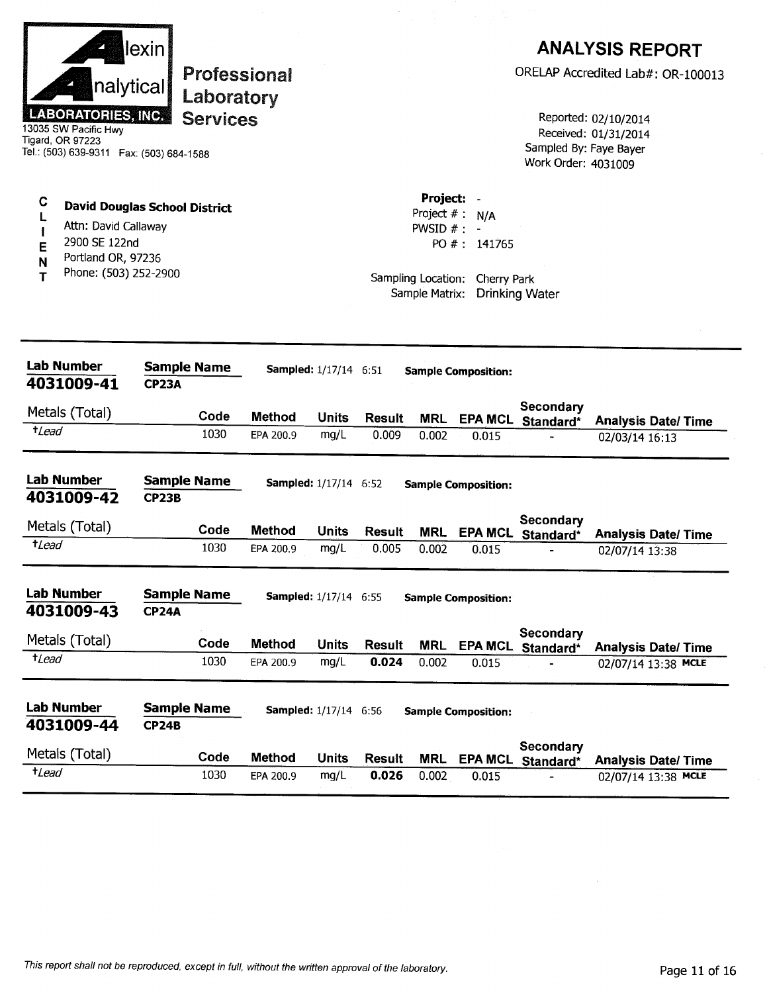|                  | nalytical<br><b>LABORATORIES, INC.</b><br>13035 SW Pacific Hwy<br><b>Tigard, OR 97223</b><br>Tel.: (503) 639-9311  Fax: (503) 684-1588 | lexin        | <b>Professional</b><br>Laboratory<br><b>Services</b> |               |                              |                        |                                              |                                                                    | Sampled By: Faye Bayer<br>Work Order: 4031009 | <b>ANALYSIS REPORT</b><br>ORELAP Accredited Lab#: OR-100013<br>Reported: 02/10/2014<br>Received: 01/31/2014 |
|------------------|----------------------------------------------------------------------------------------------------------------------------------------|--------------|------------------------------------------------------|---------------|------------------------------|------------------------|----------------------------------------------|--------------------------------------------------------------------|-----------------------------------------------|-------------------------------------------------------------------------------------------------------------|
| C<br>E<br>N<br>т | <b>David Douglas School District</b><br>Attn: David Callaway<br>2900 SE 122nd<br>Portland OR, 97236<br>Phone: (503) 252-2900           |              |                                                      |               |                              |                        | Project: -<br>PWSID $#: -$<br>Sample Matrix: | Project $#: N/A$<br>PO #: 141765<br>Sampling Location: Cherry Park | <b>Drinking Water</b>                         |                                                                                                             |
|                  | <b>Lab Number</b><br>4031009-41                                                                                                        | <b>CP23A</b> | <b>Sample Name</b>                                   |               | <b>Sampled:</b> 1/17/14 6:51 |                        |                                              | <b>Sample Composition:</b>                                         |                                               |                                                                                                             |
|                  | Metals (Total)                                                                                                                         |              | Code                                                 | <b>Method</b> |                              |                        |                                              |                                                                    | <b>Secondary</b>                              |                                                                                                             |
| $t$ <i>Lead</i>  |                                                                                                                                        |              | 1030                                                 | EPA 200.9     | Units<br>mg/L                | <b>Result</b><br>0.009 | <b>MRL</b><br>0.002                          | 0.015                                                              | EPA MCL Standard*                             | <b>Analysis Date/Time</b><br>02/03/14 16:13                                                                 |
|                  | Lab Number<br>4031009-42                                                                                                               | <b>CP23B</b> | <b>Sample Name</b>                                   |               | <b>Sampled:</b> 1/17/14 6:52 |                        |                                              | <b>Sample Composition:</b>                                         |                                               |                                                                                                             |
|                  | Metals (Total)                                                                                                                         |              | Code                                                 | <b>Method</b> | <b>Units</b>                 | <b>Result</b>          | <b>MRL</b>                                   | <b>EPA MCL</b>                                                     | <b>Secondary</b><br>Standard*                 | <b>Analysis Date/ Time</b>                                                                                  |
| $t$ <i>Lead</i>  |                                                                                                                                        |              | 1030                                                 | EPA 200.9     | mg/L                         | 0.005                  | 0.002                                        | 0.015                                                              |                                               | 02/07/14 13:38                                                                                              |
|                  | <b>Lab Number</b><br>4031009-43                                                                                                        | <b>CP24A</b> | <b>Sample Name</b>                                   |               | <b>Sampled:</b> 1/17/14 6:55 |                        |                                              | <b>Sample Composition:</b>                                         |                                               |                                                                                                             |
|                  | Metals (Total)                                                                                                                         |              | Code                                                 | <b>Method</b> | <b>Units</b>                 | <b>Result</b>          | <b>MRL</b>                                   | EPA MCL                                                            | <b>Secondary</b><br>Standard*                 | <b>Analysis Date/Time</b>                                                                                   |
| $t$ <i>Lead</i>  |                                                                                                                                        |              | 1030                                                 | EPA 200.9     | mg/L                         | 0.024                  | 0.002                                        | 0.015                                                              |                                               | 02/07/14 13:38 MCLE                                                                                         |
|                  | <b>Lab Number</b><br>4031009-44                                                                                                        | <b>CP24B</b> | <b>Sample Name</b>                                   |               | <b>Sampled:</b> 1/17/14 6:56 |                        |                                              | <b>Sample Composition:</b>                                         |                                               |                                                                                                             |
|                  | Metals (Total)                                                                                                                         |              | Code                                                 | <b>Method</b> | <b>Units</b>                 | <b>Result</b>          | <b>MRL</b>                                   |                                                                    | Secondary<br>EPA MCL Standard*                | <b>Analysis Date/Time</b>                                                                                   |
| $t$ <i>Lead</i>  |                                                                                                                                        |              | 1030                                                 | EPA 200.9     | mg/L                         | 0.026                  | 0.002                                        | 0.015                                                              |                                               | 02/07/14 13:38 MCLE                                                                                         |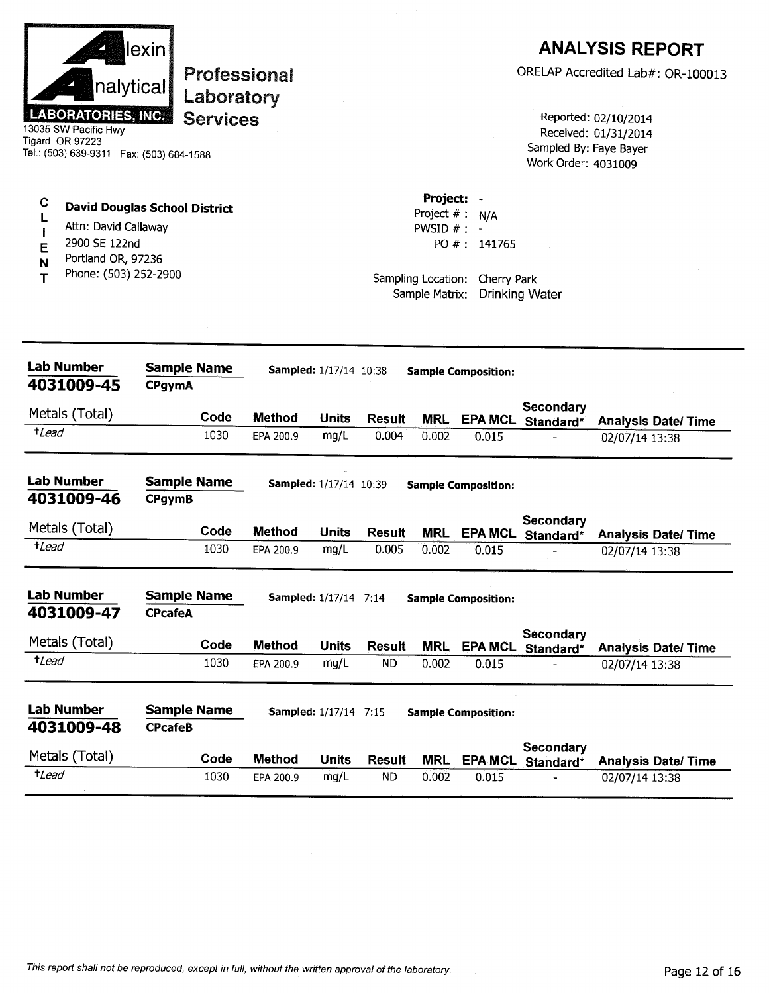| nalytical<br><b>LABORATORIES, INC.</b><br>13035 SW Pacific Hwy<br>Tigard, OR 97223<br>Tel.: (503) 639-9311  Fax: (503) 684-1588 | lexin <br>Professional<br>Laboratory<br><b>Services</b> |               |                               |                        |                                                                                          |                             | Sampled By: Faye Bayer<br>Work Order: 4031009 | <b>ANALYSIS REPORT</b><br>ORELAP Accredited Lab#: OR-100013<br>Reported: 02/10/2014<br>Received: 01/31/2014 |
|---------------------------------------------------------------------------------------------------------------------------------|---------------------------------------------------------|---------------|-------------------------------|------------------------|------------------------------------------------------------------------------------------|-----------------------------|-----------------------------------------------|-------------------------------------------------------------------------------------------------------------|
| C<br>L<br>Attn: David Callaway<br>2900 SE 122nd<br>E<br>Portland OR, 97236<br>N<br>Phone: (503) 252-2900<br>т                   | <b>David Douglas School District</b>                    |               |                               |                        | Project: -<br>Project $# : N/A$<br>PWSID $# : -$<br>Sampling Location:<br>Sample Matrix: | PO #: 141765<br>Cherry Park | <b>Drinking Water</b>                         |                                                                                                             |
| <b>Lab Number</b><br>4031009-45                                                                                                 | <b>Sample Name</b><br><b>CPgymA</b>                     |               | <b>Sampled:</b> 1/17/14 10:38 |                        |                                                                                          | <b>Sample Composition:</b>  |                                               |                                                                                                             |
| Metals (Total)                                                                                                                  | Code                                                    | <b>Method</b> | <b>Units</b>                  |                        |                                                                                          |                             | Secondary                                     |                                                                                                             |
| $t$ <i>Lead</i>                                                                                                                 | 1030                                                    | EPA 200.9     | mg/L                          | <b>Result</b><br>0.004 | <b>MRL</b><br>0.002                                                                      | <b>EPA MCL</b><br>0.015     | Standard*                                     | <b>Analysis Date/Time</b><br>02/07/14 13:38                                                                 |
| <b>Lab Number</b><br>4031009-46                                                                                                 | <b>Sample Name</b><br><b>CPgymB</b>                     |               | Sampled: 1/17/14 10:39        |                        |                                                                                          | <b>Sample Composition:</b>  |                                               |                                                                                                             |
| Metals (Total)                                                                                                                  | Code                                                    | <b>Method</b> | <b>Units</b>                  | <b>Result</b>          | <b>MRL</b>                                                                               | <b>EPA MCL</b>              | Secondary<br>Standard*                        | <b>Analysis Date/Time</b>                                                                                   |
| <i><b>tLead</b></i>                                                                                                             | 1030                                                    | EPA 200.9     | mg/L                          | 0.005                  | 0.002                                                                                    | 0.015                       |                                               | 02/07/14 13:38                                                                                              |
| <b>Lab Number</b><br>4031009-47                                                                                                 | <b>Sample Name</b><br><b>CPcafeA</b>                    |               | <b>Sampled:</b> 1/17/14 7:14  |                        |                                                                                          | <b>Sample Composition:</b>  |                                               |                                                                                                             |
| Metals (Total)                                                                                                                  | Code                                                    | <b>Method</b> | <b>Units</b>                  | <b>Result</b>          | <b>MRL</b>                                                                               | <b>EPA MCL</b>              | Secondary<br>Standard*                        | <b>Analysis Date/Time</b>                                                                                   |
| $t$ Lead                                                                                                                        | 1030                                                    | EPA 200.9     | mg/L                          | <b>ND</b>              | 0.002                                                                                    | 0.015                       |                                               | 02/07/14 13:38                                                                                              |
| <b>Lab Number</b><br>4031009-48                                                                                                 | <b>Sample Name</b><br><b>CPcafeB</b>                    |               | <b>Sampled:</b> 1/17/14 7:15  |                        |                                                                                          | <b>Sample Composition:</b>  |                                               |                                                                                                             |
| Metals (Total)                                                                                                                  | Code                                                    | <b>Method</b> | <b>Units</b>                  | <b>Result</b>          | <b>MRL</b>                                                                               | <b>EPA MCL</b>              | Secondary<br>Standard*                        | <b>Analysis Date/Time</b>                                                                                   |
| $t$ <i>Lead</i>                                                                                                                 | 1030                                                    | EPA 200.9     | mg/L                          | <b>ND</b>              | 0.002                                                                                    | 0.015                       |                                               | 02/07/14 13:38                                                                                              |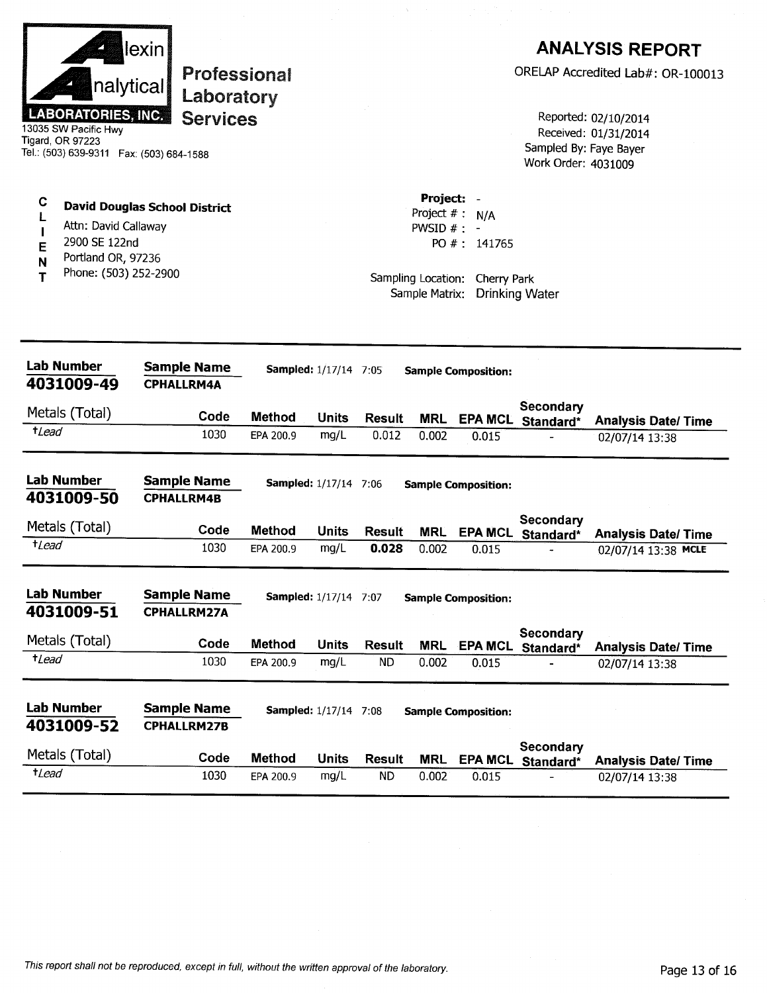|                                      | nalytical<br><b>LABORATORIES, INC.</b><br>13035 SW Pacific Hwy<br>Tigard, OR 97223<br>Tel.: (503) 639-9311  Fax: (503) 684-1588 | ∣lexin∣<br><b>Professional</b><br>Laboratory<br><b>Services</b> |               |                              |               |                                                                    |                                                | Sampled By: Faye Bayer<br>Work Order: 4031009 | <b>ANALYSIS REPORT</b><br>ORELAP Accredited Lab#: OR-100013<br>Reported: 02/10/2014<br>Received: 01/31/2014 |
|--------------------------------------|---------------------------------------------------------------------------------------------------------------------------------|-----------------------------------------------------------------|---------------|------------------------------|---------------|--------------------------------------------------------------------|------------------------------------------------|-----------------------------------------------|-------------------------------------------------------------------------------------------------------------|
| C<br>L<br>$\mathbf I$<br>E<br>N<br>Т | Attn: David Callaway<br>2900 SE 122nd<br>Portland OR, 97236<br>Phone: (503) 252-2900                                            | <b>David Douglas School District</b>                            |               |                              |               | Project: -<br>Project $# : N/A$<br>PWSID $#$ : -<br>Sample Matrix: | PO #: 141765<br>Sampling Location: Cherry Park | <b>Drinking Water</b>                         |                                                                                                             |
|                                      | <b>Lab Number</b><br>4031009-49                                                                                                 | <b>Sample Name</b><br><b>CPHALLRM4A</b>                         |               | <b>Sampled:</b> 1/17/14 7:05 |               |                                                                    | <b>Sample Composition:</b>                     |                                               |                                                                                                             |
|                                      | Metals (Total)                                                                                                                  | Code                                                            | <b>Method</b> | <b>Units</b>                 | <b>Result</b> | <b>MRL</b>                                                         |                                                | Secondary<br>EPA MCL Standard*                | <b>Analysis Date/Time</b>                                                                                   |
| $t$ Lead                             |                                                                                                                                 | 1030                                                            | EPA 200.9     | mg/L                         | 0.012         | 0.002                                                              | 0.015                                          |                                               | 02/07/14 13:38                                                                                              |
|                                      | <b>Lab Number</b><br>4031009-50                                                                                                 | <b>Sample Name</b><br><b>CPHALLRM4B</b>                         |               | <b>Sampled:</b> 1/17/14 7:06 |               |                                                                    | <b>Sample Composition:</b>                     | Secondary                                     |                                                                                                             |
| $t$ <i>Lead</i>                      | Metals (Total)                                                                                                                  | Code                                                            | <b>Method</b> | <b>Units</b>                 | <b>Result</b> | <b>MRL</b>                                                         |                                                | EPA MCL Standard*                             | <b>Analysis Date/Time</b>                                                                                   |
|                                      |                                                                                                                                 | 1030                                                            | EPA 200.9     | mg/L                         | 0.028         | 0.002                                                              | 0.015                                          |                                               | 02/07/14 13:38 MCLE                                                                                         |
|                                      | <b>Lab Number</b><br>4031009-51                                                                                                 | <b>Sample Name</b><br><b>CPHALLRM27A</b>                        |               | Sampled: 1/17/14 7:07        |               |                                                                    | <b>Sample Composition:</b>                     |                                               |                                                                                                             |
|                                      | Metals (Total)                                                                                                                  | Code                                                            | <b>Method</b> | <b>Units</b>                 | <b>Result</b> | <b>MRL</b>                                                         |                                                | <b>Secondary</b><br>EPA MCL Standard*         | <b>Analysis Date/Time</b>                                                                                   |
| $t$ Lead                             |                                                                                                                                 | 1030                                                            | EPA 200.9     | mg/L                         | <b>ND</b>     | 0.002                                                              | 0.015                                          |                                               | 02/07/14 13:38                                                                                              |
|                                      | <b>Lab Number</b><br>4031009-52                                                                                                 | <b>Sample Name</b><br><b>CPHALLRM27B</b>                        |               | <b>Sampled:</b> 1/17/14 7:08 |               |                                                                    | <b>Sample Composition:</b>                     |                                               |                                                                                                             |
|                                      | Metals (Total)                                                                                                                  | Code                                                            | <b>Method</b> | <b>Units</b>                 | <b>Result</b> | <b>MRL</b>                                                         | EPA MCL                                        | Secondary<br>Standard*                        | <b>Analysis Date/Time</b>                                                                                   |
| $t$ <i>Lead</i>                      |                                                                                                                                 | 1030                                                            | EPA 200.9     | mg/L                         | <b>ND</b>     | 0.002                                                              | 0.015                                          |                                               | 02/07/14 13:38                                                                                              |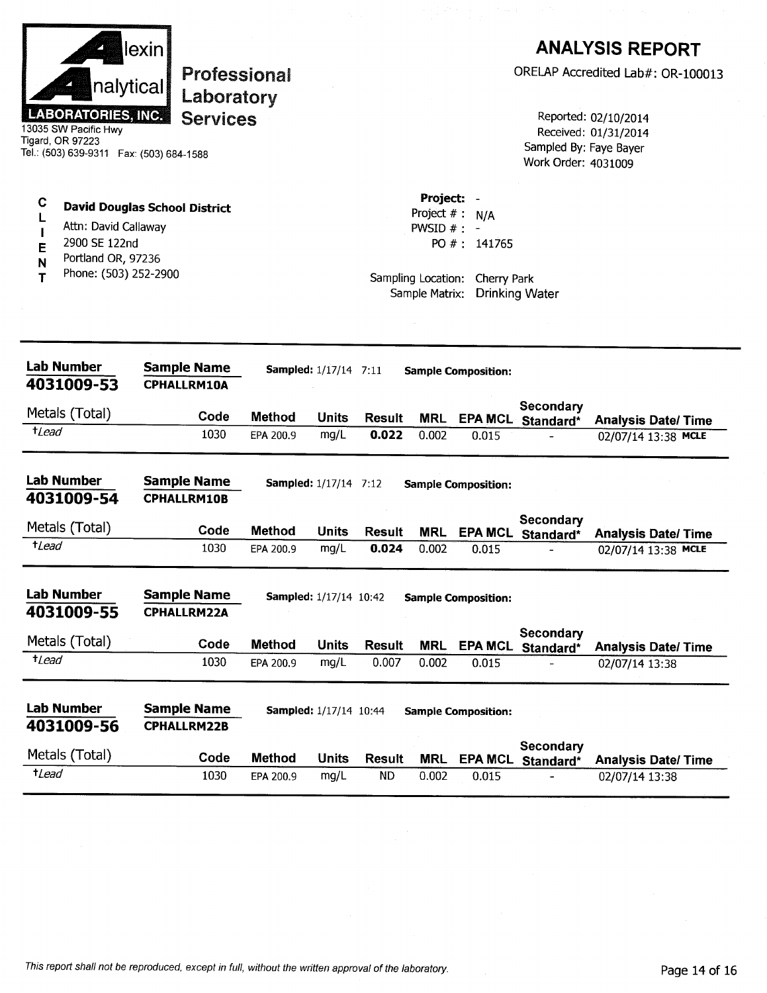| <b>LABORATORIES, INC.</b><br>13035 SW Pacific Hwy<br>Tigard, OR 97223<br>Tel.: (503) 639-9311  Fax: (503) 684-1588 | lexin<br>nalytical<br>Laboratory<br><b>Services</b> | <b>Professional</b> |                                        |                 |                                                                    |                                                  | Sampled By: Faye Bayer<br>Work Order: 4031009 | <b>ANALYSIS REPORT</b><br>ORELAP Accredited Lab#: OR-100013<br>Reported: 02/10/2014<br>Received: 01/31/2014 |
|--------------------------------------------------------------------------------------------------------------------|-----------------------------------------------------|---------------------|----------------------------------------|-----------------|--------------------------------------------------------------------|--------------------------------------------------|-----------------------------------------------|-------------------------------------------------------------------------------------------------------------|
| C<br>Attn: David Callaway<br>2900 SE 122nd<br>E<br>Portland OR, 97236<br>N<br>Phone: (503) 252-2900<br>т           | <b>David Douglas School District</b>                |                     |                                        |                 | Project: -<br>Project $# : N/A$<br>PWSID $#$ : -<br>Sample Matrix: | PO $#: 141765$<br>Sampling Location: Cherry Park | <b>Drinking Water</b>                         |                                                                                                             |
| <b>Lab Number</b><br>4031009-53                                                                                    | <b>Sample Name</b><br><b>CPHALLRM10A</b>            |                     | <b>Sampled:</b> 1/17/14 7:11           |                 |                                                                    | <b>Sample Composition:</b>                       |                                               |                                                                                                             |
| Metals (Total)                                                                                                     | Code                                                | <b>Method</b>       | <b>Units</b>                           | <b>Result</b>   | <b>MRL</b>                                                         |                                                  | Secondary<br>EPA MCL Standard*                | <b>Analysis Date/Time</b>                                                                                   |
| $t$ Lead                                                                                                           | 1030                                                | EPA 200.9           | mg/L                                   | 0.022           | 0.002                                                              | 0.015                                            |                                               | 02/07/14 13:38 MCLE                                                                                         |
| <b>Lab Number</b><br>4031009-54                                                                                    | <b>Sample Name</b><br><b>CPHALLRM10B</b>            |                     | <b>Sampled:</b> 1/17/14 7:12           |                 |                                                                    | <b>Sample Composition:</b>                       | Secondary                                     |                                                                                                             |
| Metals (Total)<br><i>tLead</i>                                                                                     | Code<br>1030                                        | Method<br>EPA 200.9 | Units<br>mg/L                          | Result<br>0.024 | <b>MRL</b><br>0.002                                                | 0.015                                            | EPA MCL Standard*                             | <b>Analysis Date/Time</b><br>02/07/14 13:38 MCLE                                                            |
| <b>Lab Number</b><br>4031009-55<br>Metals (Total)<br>$t$ Lead                                                      | <b>Sample Name</b><br><b>CPHALLRM22A</b><br>Code    | <b>Method</b>       | Sampled: 1/17/14 10:42<br><b>Units</b> | <b>Result</b>   | <b>MRL</b>                                                         | <b>Sample Composition:</b><br><b>EPA MCL</b>     | Secondary<br>Standard*                        | <b>Analysis Date/Time</b>                                                                                   |
|                                                                                                                    | 1030                                                | EPA 200.9           | mg/L                                   | 0.007           | 0.002                                                              | 0.015                                            |                                               | 02/07/14 13:38                                                                                              |
| <b>Lab Number</b><br>4031009-56                                                                                    | <b>Sample Name</b><br><b>CPHALLRM22B</b>            |                     | <b>Sampled:</b> 1/17/14 10:44          |                 |                                                                    | <b>Sample Composition:</b>                       |                                               |                                                                                                             |
| Metals (Total)                                                                                                     | Code                                                | <b>Method</b>       | <b>Units</b>                           | <b>Result</b>   | <b>MRL</b>                                                         | <b>EPA MCL</b>                                   | <b>Secondary</b><br>Standard*                 | <b>Analysis Date/Time</b>                                                                                   |
| $t$ Lead                                                                                                           | 1030                                                | EPA 200.9           | mg/L                                   | <b>ND</b>       | 0.002                                                              | 0.015                                            |                                               | 02/07/14 13:38                                                                                              |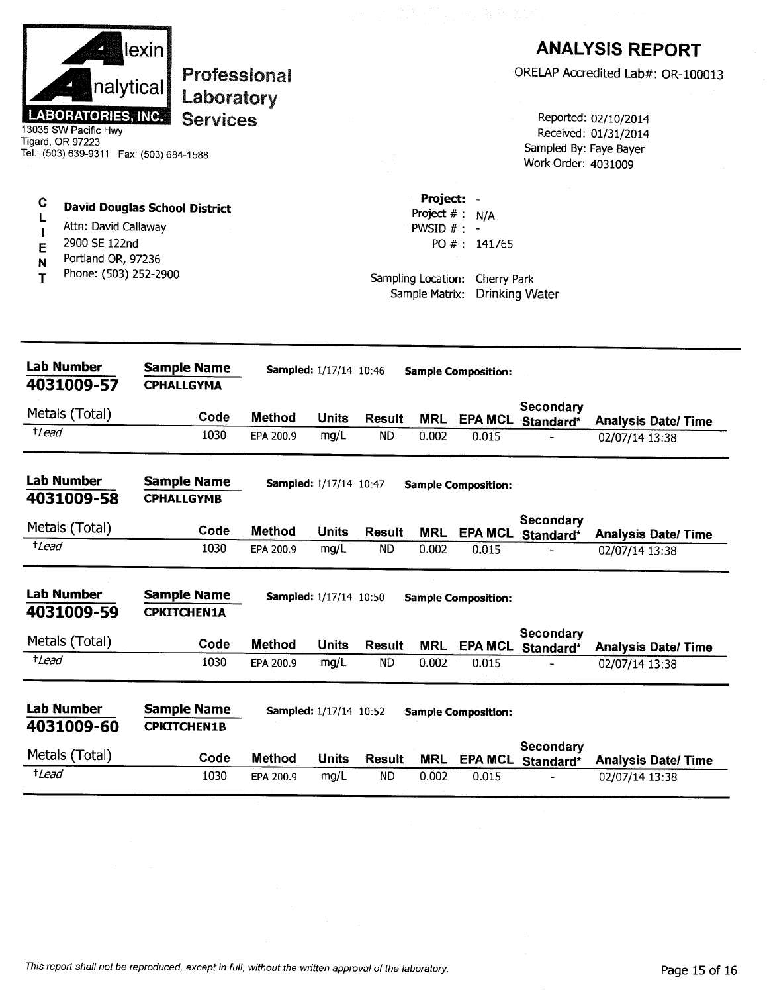|                       | nalytical<br><b>LABORATORIES, INC.</b><br>13035 SW Pacific Hwy<br>Tigard, OR 97223<br>Tel.: (503) 639-9311    Fax: (503) 684-1588 | lexin<br>Professional<br>Laboratory<br><b>Services</b> |               |                               |                     |                                                                                        |                                        | Sampled By: Faye Bayer<br>Work Order: 4031009 | <b>ANALYSIS REPORT</b><br>ORELAP Accredited Lab#: OR-100013<br>Reported: 02/10/2014<br>Received: 01/31/2014 |
|-----------------------|-----------------------------------------------------------------------------------------------------------------------------------|--------------------------------------------------------|---------------|-------------------------------|---------------------|----------------------------------------------------------------------------------------|----------------------------------------|-----------------------------------------------|-------------------------------------------------------------------------------------------------------------|
| C<br>L<br>E<br>N<br>т | Attn: David Callaway<br>2900 SE 122nd<br>Portland OR, 97236<br>Phone: (503) 252-2900                                              | <b>David Douglas School District</b>                   |               |                               |                     | <b>Project:</b><br>Project #:<br>PWSID $# : -$<br>Sampling Location:<br>Sample Matrix: | N/A<br>PO $\#$ : 141765<br>Cherry Park | <b>Drinking Water</b>                         |                                                                                                             |
|                       | <b>Lab Number</b><br>4031009-57                                                                                                   | <b>Sample Name</b><br><b>CPHALLGYMA</b>                |               | Sampled: 1/17/14 10:46        |                     |                                                                                        | <b>Sample Composition:</b>             |                                               |                                                                                                             |
|                       | Metals (Total)                                                                                                                    | Code                                                   | Method        | <b>Units</b>                  |                     |                                                                                        |                                        | Secondary                                     |                                                                                                             |
| $t$ Lead              |                                                                                                                                   | 1030                                                   | EPA 200.9     | mg/L                          | Result<br><b>ND</b> | <b>MRL</b><br>0.002                                                                    | 0.015                                  | EPA MCL Standard*                             | <b>Analysis Date/Time</b><br>02/07/14 13:38                                                                 |
|                       | <b>Lab Number</b><br>4031009-58                                                                                                   | <b>Sample Name</b><br><b>CPHALLGYMB</b>                |               | Sampled: 1/17/14 10:47        |                     |                                                                                        | <b>Sample Composition:</b>             |                                               |                                                                                                             |
|                       | Metals (Total)                                                                                                                    | Code                                                   | <b>Method</b> | <b>Units</b>                  | Result              | <b>MRL</b>                                                                             |                                        | Secondary<br>EPA MCL Standard*                | <b>Analysis Date/Time</b>                                                                                   |
| $t$ <i>Lead</i>       |                                                                                                                                   | 1030                                                   | EPA 200.9     | mg/L                          | <b>ND</b>           | 0.002                                                                                  | 0.015                                  |                                               | 02/07/14 13:38                                                                                              |
|                       | <b>Lab Number</b><br>4031009-59                                                                                                   | <b>Sample Name</b><br><b>CPKITCHEN1A</b>               |               | <b>Sampled:</b> 1/17/14 10:50 |                     |                                                                                        | <b>Sample Composition:</b>             |                                               |                                                                                                             |
|                       | Metals (Total)                                                                                                                    | Code                                                   | <b>Method</b> | <b>Units</b>                  | <b>Result</b>       | <b>MRL</b>                                                                             | <b>EPA MCL</b>                         | <b>Secondary</b><br>Standard*                 | <b>Analysis Date/Time</b>                                                                                   |
| $t$ <i>Lead</i>       |                                                                                                                                   | 1030                                                   | EPA 200.9     | mg/L                          | <b>ND</b>           | 0.002                                                                                  | 0.015                                  |                                               | 02/07/14 13:38                                                                                              |
|                       | <b>Lab Number</b><br>4031009-60                                                                                                   | <b>Sample Name</b><br><b>CPKITCHEN1B</b>               |               | <b>Sampled:</b> 1/17/14 10:52 |                     |                                                                                        | <b>Sample Composition:</b>             |                                               |                                                                                                             |
|                       | Metals (Total)                                                                                                                    | Code                                                   | <b>Method</b> | <b>Units</b>                  | <b>Result</b>       | <b>MRL</b>                                                                             | <b>EPA MCL</b>                         | Secondary<br>Standard*                        | <b>Analysis Date/Time</b>                                                                                   |
| $t$ <i>Lead</i>       |                                                                                                                                   | 1030                                                   | EPA 200.9     | mg/L                          | <b>ND</b>           | 0.002                                                                                  | 0.015                                  |                                               | 02/07/14 13:38                                                                                              |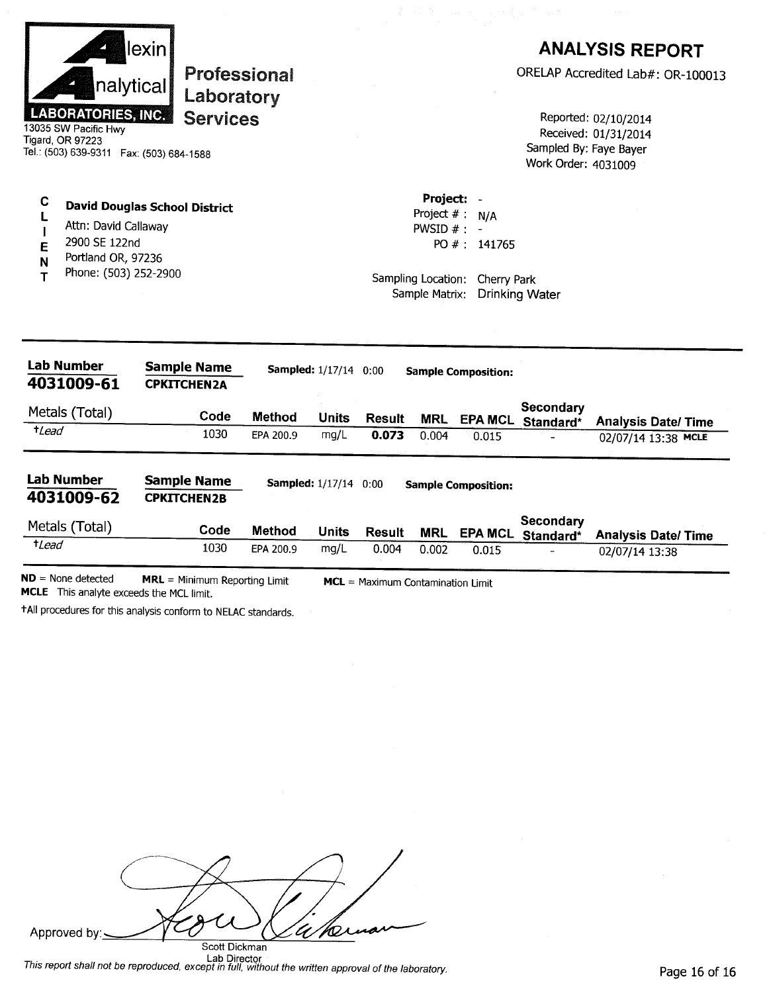| $t$ <i>Lead</i>  | <b>Lab Number</b><br>4031009-61<br>Metals (Total)<br><b>Lab Number</b><br>4031009-62<br>Metals (Total)             | <b>Sample Name</b><br><b>CPKITCHEN2A</b><br>Code<br>1030<br><b>Sample Name</b><br><b>CPKITCHEN2B</b><br>Code | <b>Method</b><br>EPA 200.9<br><b>Method</b> | <b>Sampled:</b> 1/17/14 0:00<br><b>Units</b><br>mg/L<br><b>Sampled:</b> 1/17/14 0:00<br><b>Units</b> | <b>Result</b><br>0.073<br><b>Result</b> | <b>Sample Composition:</b><br><b>MRL</b><br>0.004<br><b>Sample Composition:</b><br>MRL | 0.015        | Secondary<br>EPA MCL Standard*<br><b>Secondary</b><br>EPA MCL Standard* | <b>Analysis Date/ Time</b><br>02/07/14 13:38 MCLE<br><b>Analysis Date/Time</b> |
|------------------|--------------------------------------------------------------------------------------------------------------------|--------------------------------------------------------------------------------------------------------------|---------------------------------------------|------------------------------------------------------------------------------------------------------|-----------------------------------------|----------------------------------------------------------------------------------------|--------------|-------------------------------------------------------------------------|--------------------------------------------------------------------------------|
|                  |                                                                                                                    |                                                                                                              |                                             |                                                                                                      |                                         |                                                                                        |              |                                                                         |                                                                                |
|                  |                                                                                                                    |                                                                                                              |                                             |                                                                                                      |                                         |                                                                                        |              |                                                                         |                                                                                |
|                  |                                                                                                                    |                                                                                                              |                                             |                                                                                                      |                                         |                                                                                        |              |                                                                         |                                                                                |
|                  |                                                                                                                    |                                                                                                              |                                             |                                                                                                      |                                         |                                                                                        |              |                                                                         |                                                                                |
|                  |                                                                                                                    |                                                                                                              |                                             |                                                                                                      |                                         |                                                                                        |              |                                                                         |                                                                                |
| L<br>E<br>N<br>т | Attn: David Callaway<br>2900 SE 122nd<br>Portland OR, 97236<br>Phone: (503) 252-2900                               |                                                                                                              |                                             |                                                                                                      |                                         | Project $# : N/A$<br>PWSID $# : -$<br>Sampling Location: Cherry Park<br>Sample Matrix: | PO #: 141765 | <b>Drinking Water</b>                                                   |                                                                                |
| C                | <b>LABORATORIES, INC.</b><br>13035 SW Pacific Hwy<br>Tigard, OR 97223<br>Tel.: (503) 639-9311  Fax: (503) 684-1588 | <b>Services</b><br><b>David Douglas School District</b>                                                      |                                             |                                                                                                      |                                         | Project: -                                                                             |              | Sampled By: Faye Bayer<br>Work Order: 4031009                           | Reported: 02/10/2014<br>Received: 01/31/2014                                   |
|                  | nalytical                                                                                                          | lexin <br><b>Professional</b><br>Laboratory                                                                  |                                             |                                                                                                      |                                         |                                                                                        |              |                                                                         | <b>ANALYSIS REPORT</b><br>ORELAP Accredited Lab#: OR-100013                    |

 $ND = None detected$ **MRL** = Minimum Reporting Limit MCL = Maximum Contamination Limit MCLE This analyte exceeds the MCL limit.

+All procedures for this analysis conform to NELAC standards.

| $\sim$                                 |
|----------------------------------------|
| Ornar<br>Approved by:<br>Scott Dickman |

This report shall not be reproduced, except in full, without the written approval of the laboratory.